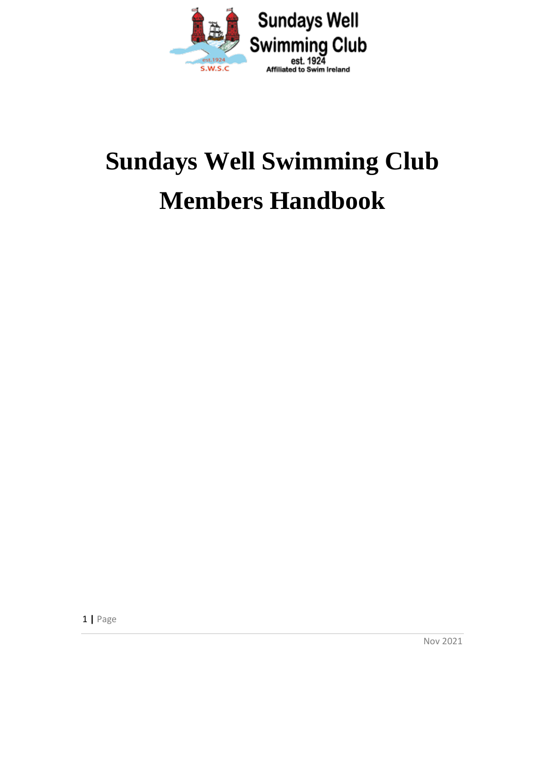

## **Sundays Well Swimming Club Members Handbook**

1 **|** Page

Nov 2021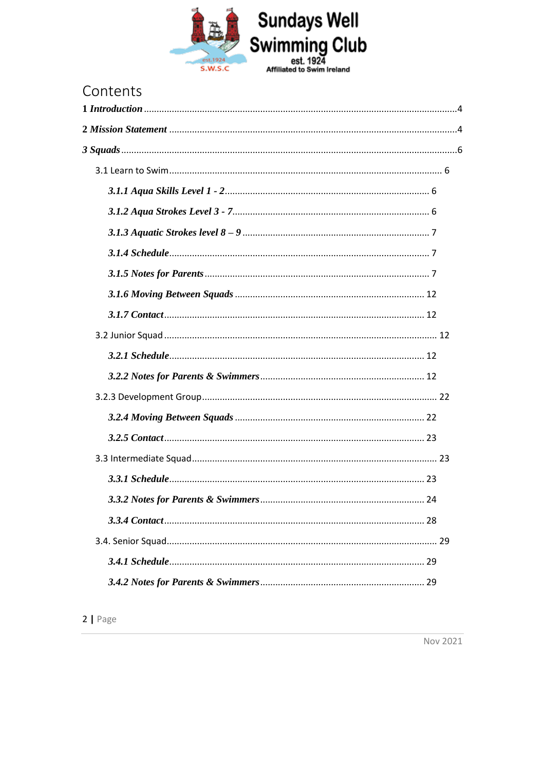

### Contents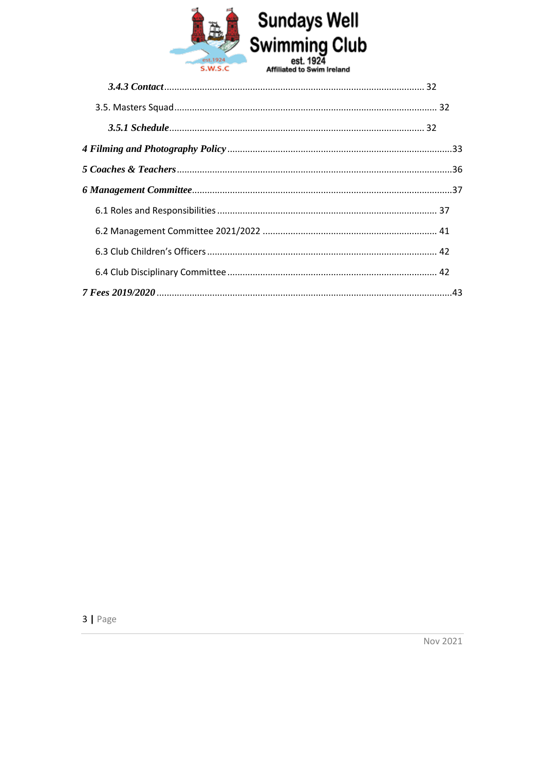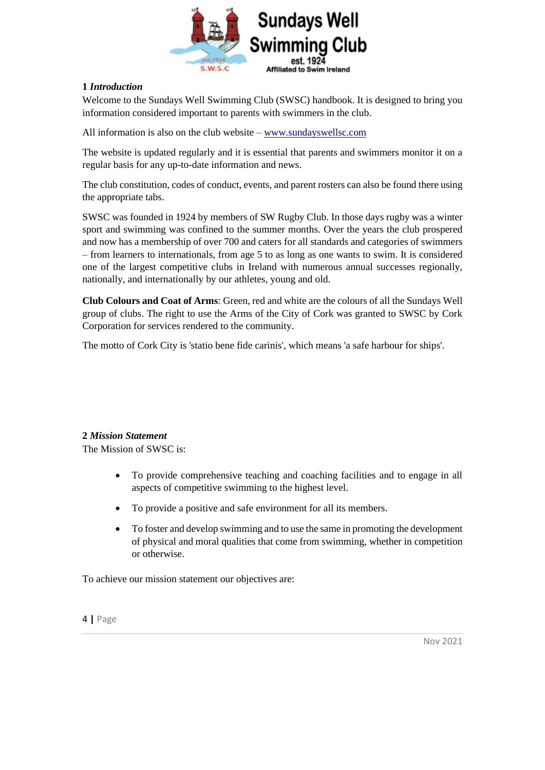

#### <span id="page-3-0"></span>**1** *Introduction*

Welcome to the Sundays Well Swimming Club (SWSC) handbook. It is designed to bring you information considered important to parents with swimmers in the club.

All information is also on the club website – [www.sundayswellsc.com](http://www.sundayswellsc.com/)

The website is updated regularly and it is essential that parents and swimmers monitor it on a regular basis for any up-to-date information and news.

The club constitution, codes of conduct, events, and parent rosters can also be found there using the appropriate tabs.

SWSC was founded in 1924 by members of SW Rugby Club. In those days rugby was a winter sport and swimming was confined to the summer months. Over the years the club prospered and now has a membership of over 700 and caters for all standards and categories of swimmers – from learners to internationals, from age 5 to as long as one wants to swim. It is considered one of the largest competitive clubs in Ireland with numerous annual successes regionally, nationally, and internationally by our athletes, young and old.

**Club Colours and Coat of Arms**: Green, red and white are the colours of all the Sundays Well group of clubs. The right to use the Arms of the City of Cork was granted to SWSC by Cork Corporation for services rendered to the community.

The motto of Cork City is 'statio bene fide carinis', which means 'a safe harbour for ships'.

#### <span id="page-3-1"></span>**2** *Mission Statement*

The Mission of SWSC is:

- To provide comprehensive teaching and coaching facilities and to engage in all aspects of competitive swimming to the highest level.
- To provide a positive and safe environment for all its members.
- To foster and develop swimming and to use the same in promoting the development of physical and moral qualities that come from swimming, whether in competition or otherwise.

To achieve our mission statement our objectives are: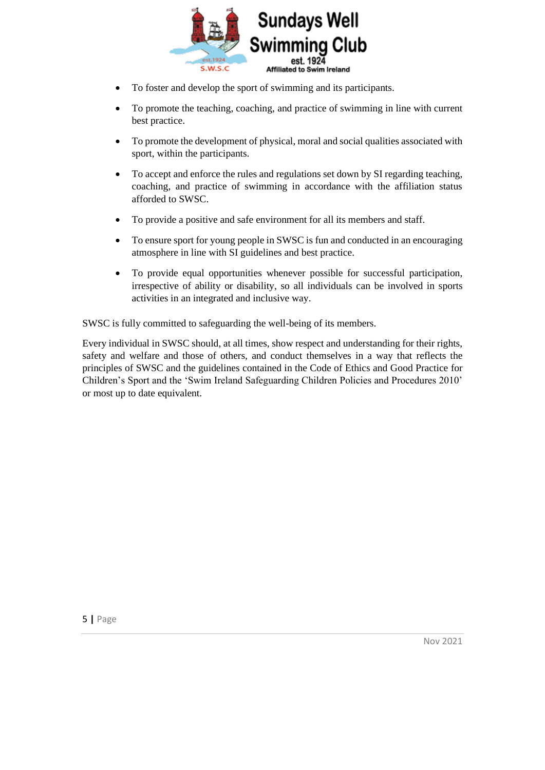

- To foster and develop the sport of swimming and its participants.
- To promote the teaching, coaching, and practice of swimming in line with current best practice.
- To promote the development of physical, moral and social qualities associated with sport, within the participants.
- To accept and enforce the rules and regulations set down by SI regarding teaching, coaching, and practice of swimming in accordance with the affiliation status afforded to SWSC.
- To provide a positive and safe environment for all its members and staff.
- To ensure sport for young people in SWSC is fun and conducted in an encouraging atmosphere in line with SI guidelines and best practice.
- To provide equal opportunities whenever possible for successful participation, irrespective of ability or disability, so all individuals can be involved in sports activities in an integrated and inclusive way.

SWSC is fully committed to safeguarding the well-being of its members.

Every individual in SWSC should, at all times, show respect and understanding for their rights, safety and welfare and those of others, and conduct themselves in a way that reflects the principles of SWSC and the guidelines contained in the Code of Ethics and Good Practice for Children's Sport and the 'Swim Ireland Safeguarding Children Policies and Procedures 2010' or most up to date equivalent.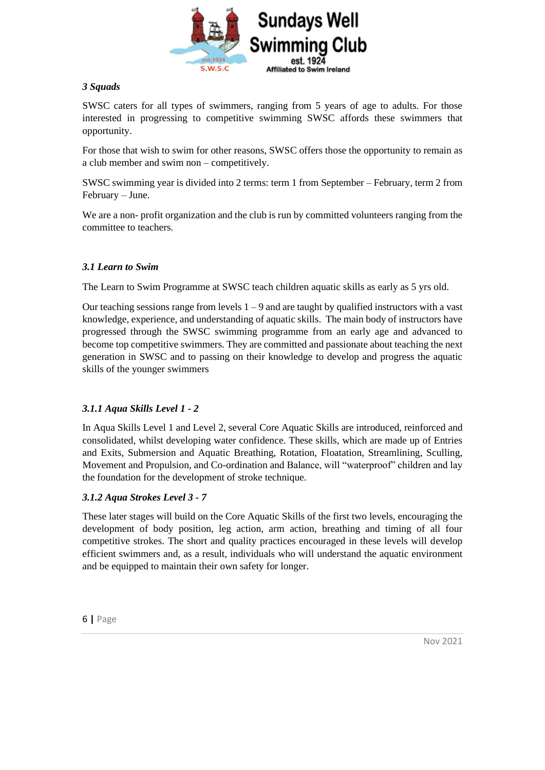

#### <span id="page-5-0"></span>*3 Squads*

SWSC caters for all types of swimmers, ranging from 5 years of age to adults. For those interested in progressing to competitive swimming SWSC affords these swimmers that opportunity.

For those that wish to swim for other reasons, SWSC offers those the opportunity to remain as a club member and swim non – competitively.

SWSC swimming year is divided into 2 terms: term 1 from September – February, term 2 from February – June.

We are a non- profit organization and the club is run by committed volunteers ranging from the committee to teachers.

#### <span id="page-5-1"></span>*3.1 Learn to Swim*

The Learn to Swim Programme at SWSC teach children aquatic skills as early as 5 yrs old.

Our teaching sessions range from levels  $1 - 9$  and are taught by qualified instructors with a vast knowledge, experience, and understanding of aquatic skills. The main body of instructors have progressed through the SWSC swimming programme from an early age and advanced to become top competitive swimmers. They are committed and passionate about teaching the next generation in SWSC and to passing on their knowledge to develop and progress the aquatic skills of the younger swimmers

#### <span id="page-5-2"></span>*3.1.1 Aqua Skills Level 1 - 2*

In Aqua Skills Level 1 and Level 2, several Core Aquatic Skills are introduced, reinforced and consolidated, whilst developing water confidence. These skills, which are made up of Entries and Exits, Submersion and Aquatic Breathing, Rotation, Floatation, Streamlining, Sculling, Movement and Propulsion, and Co-ordination and Balance, will "waterproof" children and lay the foundation for the development of stroke technique.

#### <span id="page-5-3"></span>*3.1.2 Aqua Strokes Level 3 - 7*

These later stages will build on the Core Aquatic Skills of the first two levels, encouraging the development of body position, leg action, arm action, breathing and timing of all four competitive strokes. The short and quality practices encouraged in these levels will develop efficient swimmers and, as a result, individuals who will understand the aquatic environment and be equipped to maintain their own safety for longer.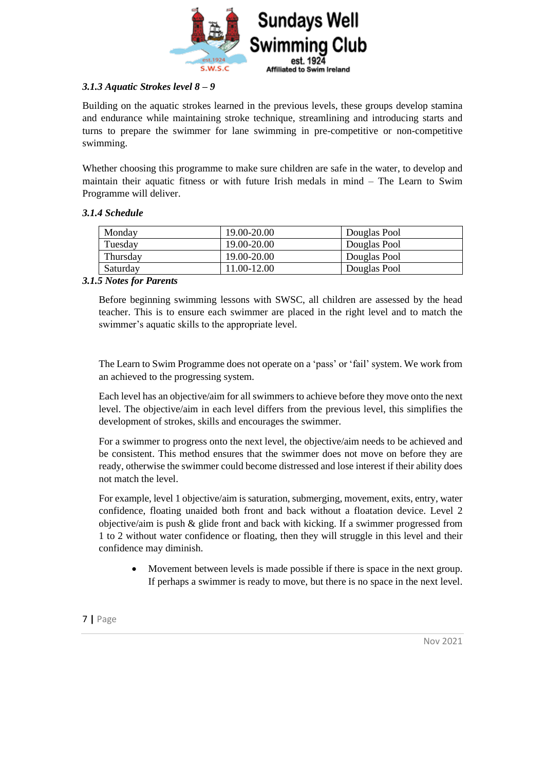

#### <span id="page-6-0"></span>*3.1.3 Aquatic Strokes level 8 – 9*

Building on the aquatic strokes learned in the previous levels, these groups develop stamina and endurance while maintaining stroke technique, streamlining and introducing starts and turns to prepare the swimmer for lane swimming in pre-competitive or non-competitive swimming.

Whether choosing this programme to make sure children are safe in the water, to develop and maintain their aquatic fitness or with future Irish medals in mind – The Learn to Swim Programme will deliver.

#### <span id="page-6-1"></span>*3.1.4 Schedule*

| Monday   | 19.00-20.00 | Douglas Pool |
|----------|-------------|--------------|
| Tuesday  | 19.00-20.00 | Douglas Pool |
| Thursday | 19.00-20.00 | Douglas Pool |
| Saturday | 11.00-12.00 | Douglas Pool |

#### <span id="page-6-2"></span>*3.1.5 Notes for Parents*

Before beginning swimming lessons with SWSC, all children are assessed by the head teacher. This is to ensure each swimmer are placed in the right level and to match the swimmer's aquatic skills to the appropriate level.

The Learn to Swim Programme does not operate on a 'pass' or 'fail' system. We work from an achieved to the progressing system.

Each level has an objective/aim for all swimmers to achieve before they move onto the next level. The objective/aim in each level differs from the previous level, this simplifies the development of strokes, skills and encourages the swimmer.

For a swimmer to progress onto the next level, the objective/aim needs to be achieved and be consistent. This method ensures that the swimmer does not move on before they are ready, otherwise the swimmer could become distressed and lose interest if their ability does not match the level.

For example, level 1 objective/aim is saturation, submerging, movement, exits, entry, water confidence, floating unaided both front and back without a floatation device. Level 2 objective/aim is push & glide front and back with kicking. If a swimmer progressed from 1 to 2 without water confidence or floating, then they will struggle in this level and their confidence may diminish.

• Movement between levels is made possible if there is space in the next group. If perhaps a swimmer is ready to move, but there is no space in the next level.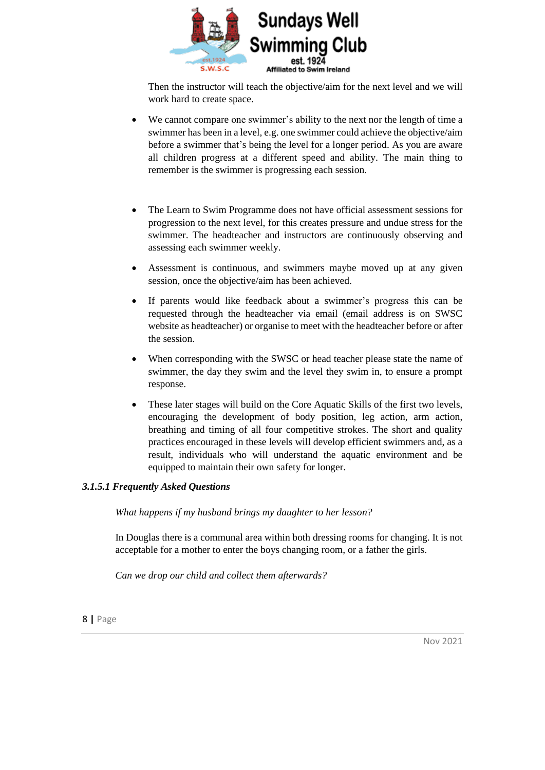

Then the instructor will teach the objective/aim for the next level and we will work hard to create space.

- We cannot compare one swimmer's ability to the next nor the length of time a swimmer has been in a level, e.g. one swimmer could achieve the objective/aim before a swimmer that's being the level for a longer period. As you are aware all children progress at a different speed and ability. The main thing to remember is the swimmer is progressing each session.
- The Learn to Swim Programme does not have official assessment sessions for progression to the next level, for this creates pressure and undue stress for the swimmer. The headteacher and instructors are continuously observing and assessing each swimmer weekly.
- Assessment is continuous, and swimmers maybe moved up at any given session, once the objective/aim has been achieved.
- If parents would like feedback about a swimmer's progress this can be requested through the headteacher via email (email address is on SWSC website as headteacher) or organise to meet with the headteacher before or after the session.
- When corresponding with the SWSC or head teacher please state the name of swimmer, the day they swim and the level they swim in, to ensure a prompt response.
- These later stages will build on the Core Aquatic Skills of the first two levels, encouraging the development of body position, leg action, arm action, breathing and timing of all four competitive strokes. The short and quality practices encouraged in these levels will develop efficient swimmers and, as a result, individuals who will understand the aquatic environment and be equipped to maintain their own safety for longer.

#### *3.1.5.1 Frequently Asked Questions*

*What happens if my husband brings my daughter to her lesson?*

In Douglas there is a communal area within both dressing rooms for changing. It is not acceptable for a mother to enter the boys changing room, or a father the girls.

*Can we drop our child and collect them afterwards?*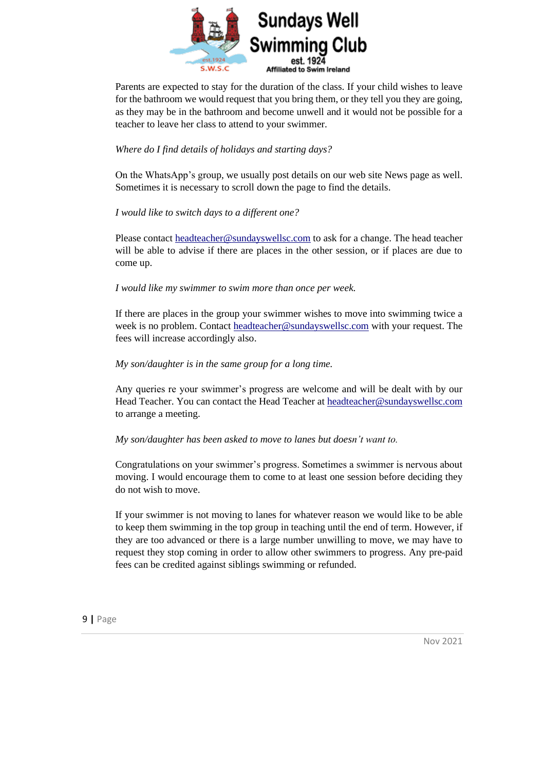

Parents are expected to stay for the duration of the class. If your child wishes to leave for the bathroom we would request that you bring them, or they tell you they are going, as they may be in the bathroom and become unwell and it would not be possible for a teacher to leave her class to attend to your swimmer.

#### *Where do I find details of holidays and starting days?*

On the WhatsApp's group, we usually post details on our web site News page as well. Sometimes it is necessary to scroll down the page to find the details.

#### *I would like to switch days to a different one?*

Please contact [headteacher@sundayswellsc.com](mailto:headteacher@sundayswellsc.com) to ask for a change. The head teacher will be able to advise if there are places in the other session, or if places are due to come up.

*I would like my swimmer to swim more than once per week.*

If there are places in the group your swimmer wishes to move into swimming twice a week is no problem. Contact [headteacher@sundayswellsc.com](mailto:headteacher@sundayswellsc.com) with your request. The fees will increase accordingly also.

#### *My son/daughter is in the same group for a long time.*

Any queries re your swimmer's progress are welcome and will be dealt with by our Head Teacher. You can contact the Head Teacher at [headteacher@sundayswellsc.com](mailto:headteacher@sundayswellsc.com) to arrange a meeting.

#### *My son/daughter has been asked to move to lanes but doesn't want to.*

Congratulations on your swimmer's progress. Sometimes a swimmer is nervous about moving. I would encourage them to come to at least one session before deciding they do not wish to move.

If your swimmer is not moving to lanes for whatever reason we would like to be able to keep them swimming in the top group in teaching until the end of term. However, if they are too advanced or there is a large number unwilling to move, we may have to request they stop coming in order to allow other swimmers to progress. Any pre-paid fees can be credited against siblings swimming or refunded.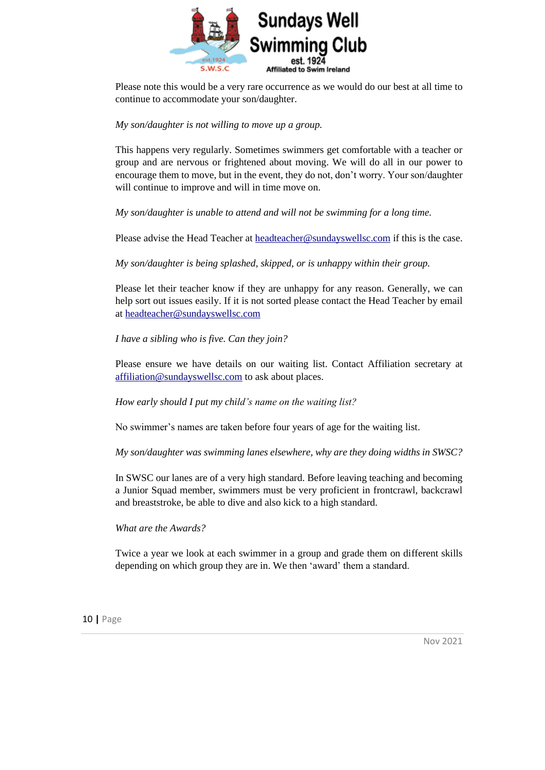

Please note this would be a very rare occurrence as we would do our best at all time to continue to accommodate your son/daughter.

#### *My son/daughter is not willing to move up a group.*

This happens very regularly. Sometimes swimmers get comfortable with a teacher or group and are nervous or frightened about moving. We will do all in our power to encourage them to move, but in the event, they do not, don't worry. Your son/daughter will continue to improve and will in time move on.

*My son/daughter is unable to attend and will not be swimming for a long time.*

Please advise the Head Teacher a[t headteacher@sundayswellsc.com](mailto:headteacher@sundayswellsc.com) if this is the case.

*My son/daughter is being splashed, skipped, or is unhappy within their group.*

Please let their teacher know if they are unhappy for any reason. Generally, we can help sort out issues easily. If it is not sorted please contact the Head Teacher by email at [headteacher@sundayswellsc.com](mailto:headteacher@sundayswellsc.com)

*I have a sibling who is five. Can they join?*

Please ensure we have details on our waiting list. Contact Affiliation secretary at [affiliation@sundayswellsc.com](mailto:affiliation@sundayswellsc.com) to ask about places.

*How early should I put my child's name on the waiting list?*

No swimmer's names are taken before four years of age for the waiting list.

*My son/daughter was swimming lanes elsewhere, why are they doing widths in SWSC?*

In SWSC our lanes are of a very high standard. Before leaving teaching and becoming a Junior Squad member, swimmers must be very proficient in frontcrawl, backcrawl and breaststroke, be able to dive and also kick to a high standard.

*What are the Awards?*

Twice a year we look at each swimmer in a group and grade them on different skills depending on which group they are in. We then 'award' them a standard.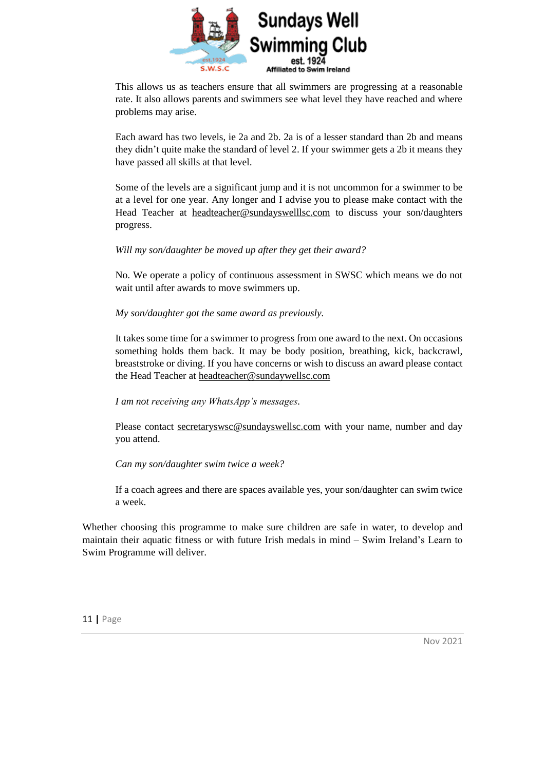

This allows us as teachers ensure that all swimmers are progressing at a reasonable rate. It also allows parents and swimmers see what level they have reached and where problems may arise.

Each award has two levels, ie 2a and 2b. 2a is of a lesser standard than 2b and means they didn't quite make the standard of level 2. If your swimmer gets a 2b it means they have passed all skills at that level.

Some of the levels are a significant jump and it is not uncommon for a swimmer to be at a level for one year. Any longer and I advise you to please make contact with the Head Teacher at [headteacher@sundayswelllsc.com](mailto:headteacher@sundayswelllsc.com) to discuss your son/daughters progress.

#### *Will my son/daughter be moved up after they get their award?*

No. We operate a policy of continuous assessment in SWSC which means we do not wait until after awards to move swimmers up.

#### *My son/daughter got the same award as previously.*

It takes some time for a swimmer to progress from one award to the next. On occasions something holds them back. It may be body position, breathing, kick, backcrawl, breaststroke or diving. If you have concerns or wish to discuss an award please contact the Head Teacher at [headteacher@sundaywellsc.com](mailto:headteacher@sundaywellsc.com)

*I am not receiving any WhatsApp's messages.*

Please contact secretaryswsc@sundayswellsc.com with your name, number and day you attend.

*Can my son/daughter swim twice a week?*

If a coach agrees and there are spaces available yes, your son/daughter can swim twice a week.

Whether choosing this programme to make sure children are safe in water, to develop and maintain their aquatic fitness or with future Irish medals in mind – Swim Ireland's Learn to Swim Programme will deliver.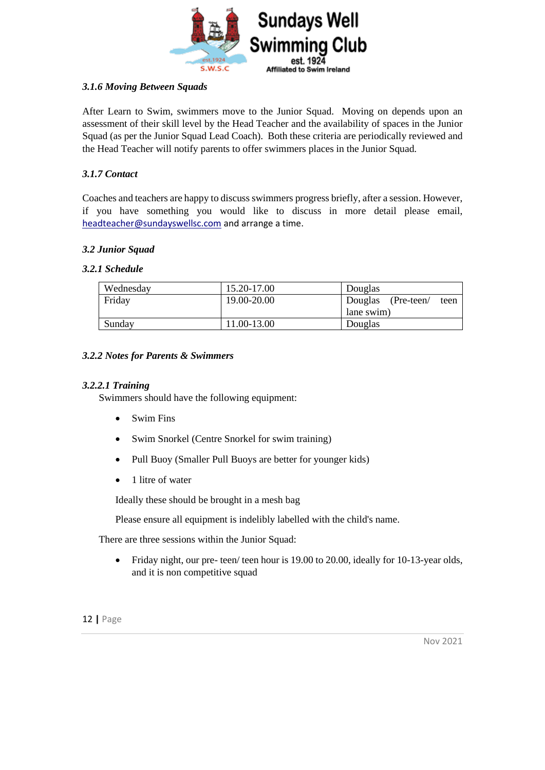

#### <span id="page-11-0"></span>*3.1.6 Moving Between Squads*

After Learn to Swim, swimmers move to the Junior Squad. Moving on depends upon an assessment of their skill level by the Head Teacher and the availability of spaces in the Junior Squad (as per the Junior Squad Lead Coach). Both these criteria are periodically reviewed and the Head Teacher will notify parents to offer swimmers places in the Junior Squad.

#### <span id="page-11-1"></span>*3.1.7 Contact*

Coaches and teachers are happy to discuss swimmers progress briefly, after a session. However, if you have something you would like to discuss in more detail please email, [headteacher@sundayswellsc.com](mailto:headteacher@sundayswellsc.com) and arrange a time.

#### <span id="page-11-2"></span>*3.2 Junior Squad*

#### <span id="page-11-3"></span>*3.2.1 Schedule*

| Wednesday | 15.20-17.00 | Douglas                    |
|-----------|-------------|----------------------------|
| Friday    | 19.00-20.00 | Douglas (Pre-teen/<br>teen |
|           |             | lane swim)                 |
| Sunday    | 11.00-13.00 | Douglas                    |

#### <span id="page-11-4"></span>*3.2.2 Notes for Parents & Swimmers*

#### *3.2.2.1 Training*

Swimmers should have the following equipment:

- Swim Fins
- Swim Snorkel (Centre Snorkel for swim training)
- Pull Buoy (Smaller Pull Buoys are better for younger kids)
- 1 litre of water

Ideally these should be brought in a mesh bag

Please ensure all equipment is indelibly labelled with the child's name.

There are three sessions within the Junior Squad:

• Friday night, our pre- teen/ teen hour is 19.00 to 20.00, ideally for 10-13-year olds, and it is non competitive squad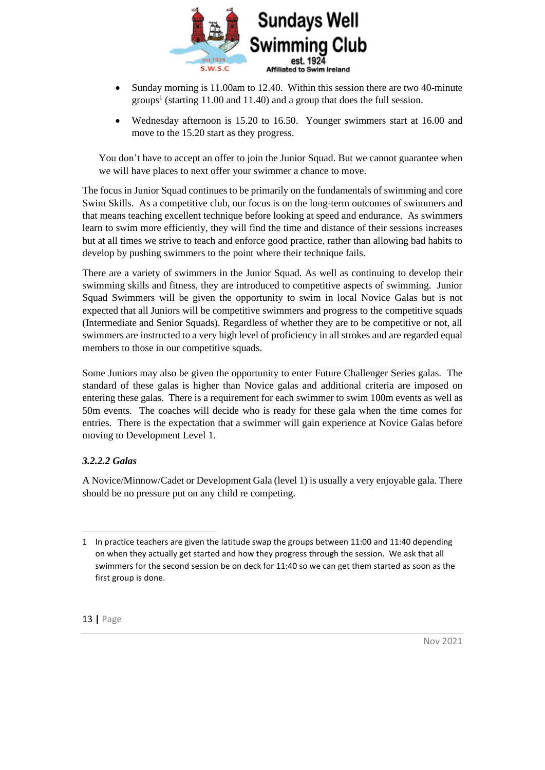

- Sunday morning is 11.00am to 12.40. Within this session there are two 40-minute groups<sup>1</sup> (starting 11.00 and 11.40) and a group that does the full session.
- Wednesday afternoon is 15.20 to 16.50. Younger swimmers start at 16.00 and move to the 15.20 start as they progress.

You don't have to accept an offer to join the Junior Squad. But we cannot guarantee when we will have places to next offer your swimmer a chance to move.

The focus in Junior Squad continues to be primarily on the fundamentals of swimming and core Swim Skills. As a competitive club, our focus is on the long-term outcomes of swimmers and that means teaching excellent technique before looking at speed and endurance. As swimmers learn to swim more efficiently, they will find the time and distance of their sessions increases but at all times we strive to teach and enforce good practice, rather than allowing bad habits to develop by pushing swimmers to the point where their technique fails.

There are a variety of swimmers in the Junior Squad. As well as continuing to develop their swimming skills and fitness, they are introduced to competitive aspects of swimming. Junior Squad Swimmers will be given the opportunity to swim in local Novice Galas but is not expected that all Juniors will be competitive swimmers and progress to the competitive squads (Intermediate and Senior Squads). Regardless of whether they are to be competitive or not, all swimmers are instructed to a very high level of proficiency in all strokes and are regarded equal members to those in our competitive squads.

Some Juniors may also be given the opportunity to enter Future Challenger Series galas. The standard of these galas is higher than Novice galas and additional criteria are imposed on entering these galas. There is a requirement for each swimmer to swim 100m events as well as 50m events. The coaches will decide who is ready for these gala when the time comes for entries. There is the expectation that a swimmer will gain experience at Novice Galas before moving to Development Level 1.

#### *3.2.2.2 Galas*

A Novice/Minnow/Cadet or Development Gala (level 1) is usually a very enjoyable gala. There should be no pressure put on any child re competing.

<sup>1</sup> In practice teachers are given the latitude swap the groups between 11:00 and 11:40 depending on when they actually get started and how they progress through the session. We ask that all swimmers for the second session be on deck for 11:40 so we can get them started as soon as the first group is done.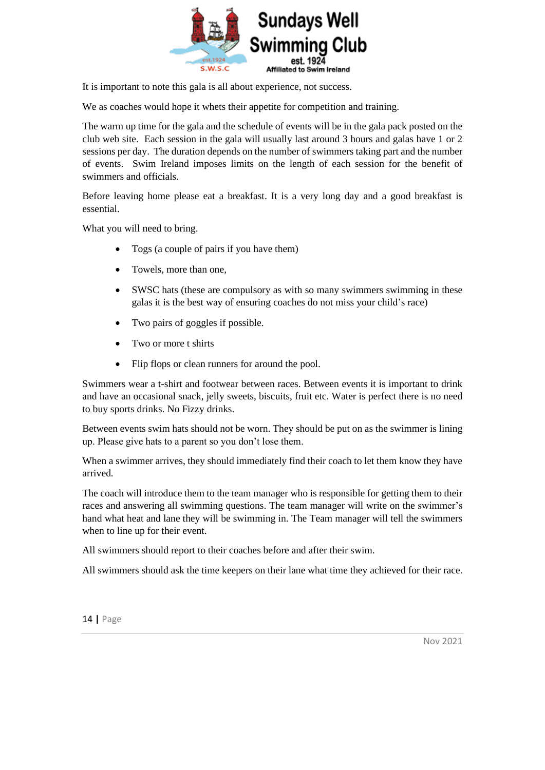

It is important to note this gala is all about experience, not success.

We as coaches would hope it whets their appetite for competition and training.

The warm up time for the gala and the schedule of events will be in the gala pack posted on the club web site. Each session in the gala will usually last around 3 hours and galas have 1 or 2 sessions per day. The duration depends on the number of swimmers taking part and the number of events. Swim Ireland imposes limits on the length of each session for the benefit of swimmers and officials.

Before leaving home please eat a breakfast. It is a very long day and a good breakfast is essential.

What you will need to bring.

- Togs (a couple of pairs if you have them)
- Towels, more than one,
- SWSC hats (these are compulsory as with so many swimmers swimming in these galas it is the best way of ensuring coaches do not miss your child's race)
- Two pairs of goggles if possible.
- Two or more t shirts
- Flip flops or clean runners for around the pool.

Swimmers wear a t-shirt and footwear between races. Between events it is important to drink and have an occasional snack, jelly sweets, biscuits, fruit etc. Water is perfect there is no need to buy sports drinks. No Fizzy drinks.

Between events swim hats should not be worn. They should be put on as the swimmer is lining up. Please give hats to a parent so you don't lose them.

When a swimmer arrives, they should immediately find their coach to let them know they have arrived.

The coach will introduce them to the team manager who is responsible for getting them to their races and answering all swimming questions. The team manager will write on the swimmer's hand what heat and lane they will be swimming in. The Team manager will tell the swimmers when to line up for their event.

All swimmers should report to their coaches before and after their swim.

All swimmers should ask the time keepers on their lane what time they achieved for their race.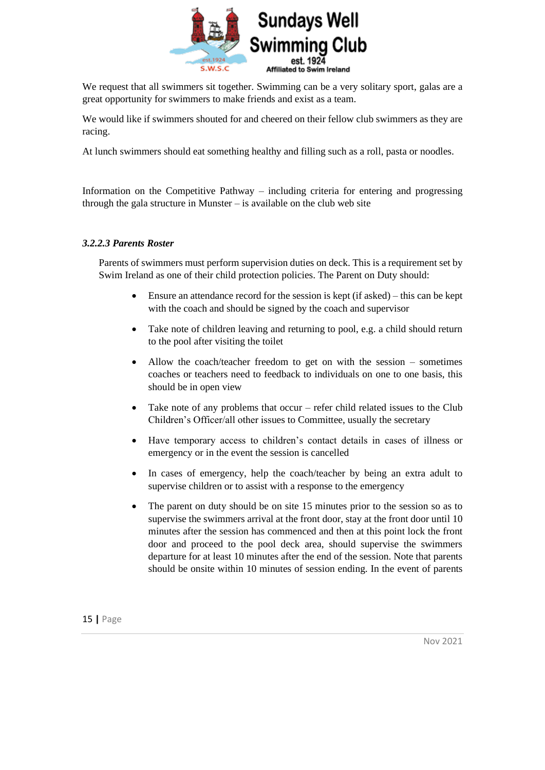

We request that all swimmers sit together. Swimming can be a very solitary sport, galas are a great opportunity for swimmers to make friends and exist as a team.

We would like if swimmers shouted for and cheered on their fellow club swimmers as they are racing.

At lunch swimmers should eat something healthy and filling such as a roll, pasta or noodles.

Information on the Competitive Pathway – including criteria for entering and progressing through the gala structure in Munster  $-$  is available on the club web site

#### *3.2.2.3 Parents Roster*

Parents of swimmers must perform supervision duties on deck. This is a requirement set by Swim Ireland as one of their child protection policies. The Parent on Duty should:

- Ensure an attendance record for the session is kept (if asked) this can be kept with the coach and should be signed by the coach and supervisor
- Take note of children leaving and returning to pool, e.g. a child should return to the pool after visiting the toilet
- Allow the coach/teacher freedom to get on with the session sometimes coaches or teachers need to feedback to individuals on one to one basis, this should be in open view
- Take note of any problems that occur refer child related issues to the Club Children's Officer/all other issues to Committee, usually the secretary
- Have temporary access to children's contact details in cases of illness or emergency or in the event the session is cancelled
- In cases of emergency, help the coach/teacher by being an extra adult to supervise children or to assist with a response to the emergency
- The parent on duty should be on site 15 minutes prior to the session so as to supervise the swimmers arrival at the front door, stay at the front door until 10 minutes after the session has commenced and then at this point lock the front door and proceed to the pool deck area, should supervise the swimmers departure for at least 10 minutes after the end of the session. Note that parents should be onsite within 10 minutes of session ending. In the event of parents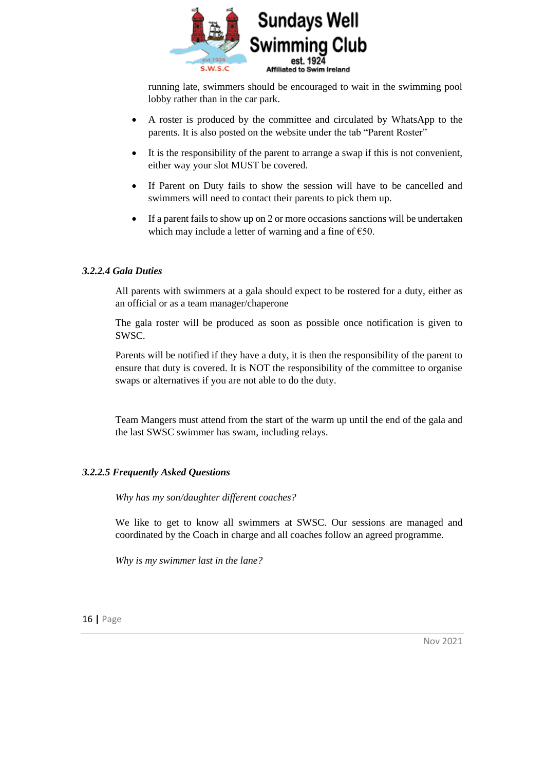

running late, swimmers should be encouraged to wait in the swimming pool lobby rather than in the car park.

- A roster is produced by the committee and circulated by WhatsApp to the parents. It is also posted on the website under the tab "Parent Roster"
- It is the responsibility of the parent to arrange a swap if this is not convenient, either way your slot MUST be covered.
- If Parent on Duty fails to show the session will have to be cancelled and swimmers will need to contact their parents to pick them up.
- If a parent fails to show up on 2 or more occasions sanctions will be undertaken which may include a letter of warning and a fine of  $\epsilon$ 50.

#### *3.2.2.4 Gala Duties*

All parents with swimmers at a gala should expect to be rostered for a duty, either as an official or as a team manager/chaperone

The gala roster will be produced as soon as possible once notification is given to SWSC.

Parents will be notified if they have a duty, it is then the responsibility of the parent to ensure that duty is covered. It is NOT the responsibility of the committee to organise swaps or alternatives if you are not able to do the duty.

Team Mangers must attend from the start of the warm up until the end of the gala and the last SWSC swimmer has swam, including relays.

#### *3.2.2.5 Frequently Asked Questions*

*Why has my son/daughter different coaches?*

We like to get to know all swimmers at SWSC. Our sessions are managed and coordinated by the Coach in charge and all coaches follow an agreed programme.

*Why is my swimmer last in the lane?*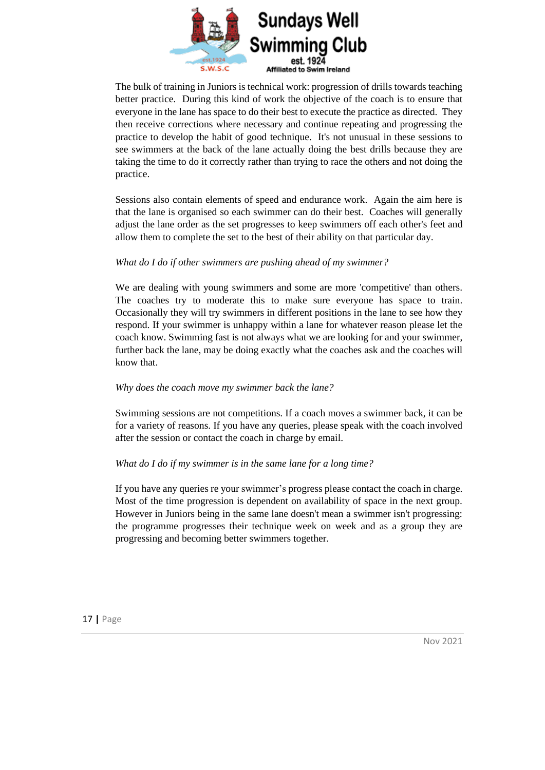

The bulk of training in Juniors is technical work: progression of drills towards teaching better practice. During this kind of work the objective of the coach is to ensure that everyone in the lane has space to do their best to execute the practice as directed. They then receive corrections where necessary and continue repeating and progressing the practice to develop the habit of good technique. It's not unusual in these sessions to see swimmers at the back of the lane actually doing the best drills because they are taking the time to do it correctly rather than trying to race the others and not doing the practice.

Sessions also contain elements of speed and endurance work. Again the aim here is that the lane is organised so each swimmer can do their best. Coaches will generally adjust the lane order as the set progresses to keep swimmers off each other's feet and allow them to complete the set to the best of their ability on that particular day.

#### *What do I do if other swimmers are pushing ahead of my swimmer?*

We are dealing with young swimmers and some are more 'competitive' than others. The coaches try to moderate this to make sure everyone has space to train. Occasionally they will try swimmers in different positions in the lane to see how they respond. If your swimmer is unhappy within a lane for whatever reason please let the coach know. Swimming fast is not always what we are looking for and your swimmer, further back the lane, may be doing exactly what the coaches ask and the coaches will know that.

#### *Why does the coach move my swimmer back the lane?*

Swimming sessions are not competitions. If a coach moves a swimmer back, it can be for a variety of reasons. If you have any queries, please speak with the coach involved after the session or contact the coach in charge by email.

#### *What do I do if my swimmer is in the same lane for a long time?*

If you have any queries re your swimmer's progress please contact the coach in charge. Most of the time progression is dependent on availability of space in the next group. However in Juniors being in the same lane doesn't mean a swimmer isn't progressing: the programme progresses their technique week on week and as a group they are progressing and becoming better swimmers together.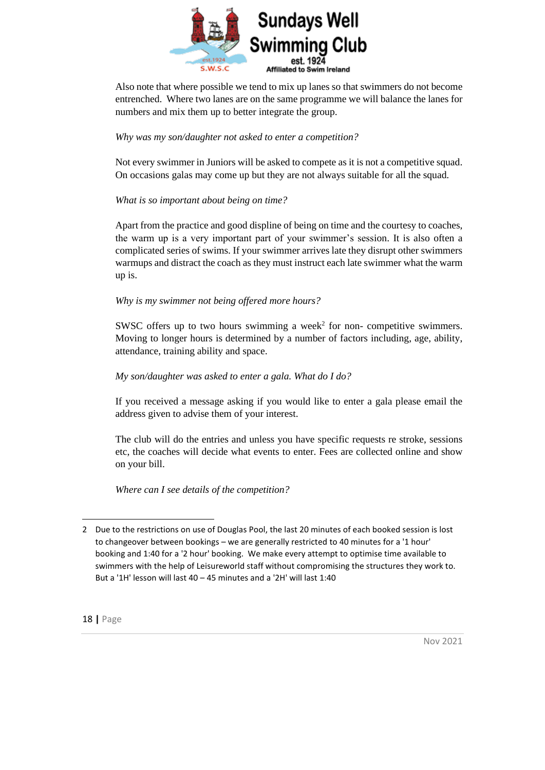

Also note that where possible we tend to mix up lanes so that swimmers do not become entrenched. Where two lanes are on the same programme we will balance the lanes for numbers and mix them up to better integrate the group.

#### *Why was my son/daughter not asked to enter a competition?*

Not every swimmer in Juniors will be asked to compete as it is not a competitive squad. On occasions galas may come up but they are not always suitable for all the squad.

#### *What is so important about being on time?*

Apart from the practice and good displine of being on time and the courtesy to coaches, the warm up is a very important part of your swimmer's session. It is also often a complicated series of swims. If your swimmer arrives late they disrupt other swimmers warmups and distract the coach as they must instruct each late swimmer what the warm up is.

#### *Why is my swimmer not being offered more hours?*

SWSC offers up to two hours swimming a week<sup>2</sup> for non- competitive swimmers. Moving to longer hours is determined by a number of factors including, age, ability, attendance, training ability and space.

#### *My son/daughter was asked to enter a gala. What do I do?*

If you received a message asking if you would like to enter a gala please email the address given to advise them of your interest.

The club will do the entries and unless you have specific requests re stroke, sessions etc, the coaches will decide what events to enter. Fees are collected online and show on your bill.

*Where can I see details of the competition?*

<sup>2</sup> Due to the restrictions on use of Douglas Pool, the last 20 minutes of each booked session is lost to changeover between bookings – we are generally restricted to 40 minutes for a '1 hour' booking and 1:40 for a '2 hour' booking. We make every attempt to optimise time available to swimmers with the help of Leisureworld staff without compromising the structures they work to. But a '1H' lesson will last 40 – 45 minutes and a '2H' will last 1:40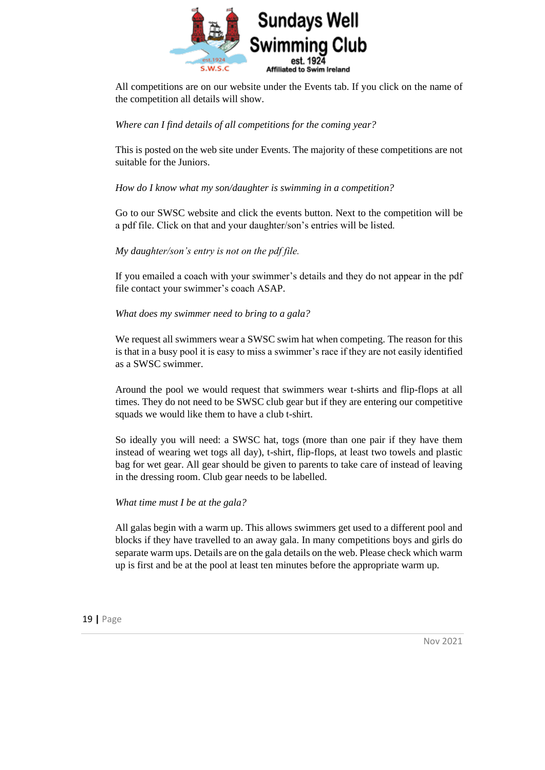

All competitions are on our website under the Events tab. If you click on the name of the competition all details will show.

#### *Where can I find details of all competitions for the coming year?*

This is posted on the web site under Events. The majority of these competitions are not suitable for the Juniors.

#### *How do I know what my son/daughter is swimming in a competition?*

Go to our SWSC website and click the events button. Next to the competition will be a pdf file. Click on that and your daughter/son's entries will be listed.

#### *My daughter/son's entry is not on the pdf file.*

If you emailed a coach with your swimmer's details and they do not appear in the pdf file contact your swimmer's coach ASAP.

#### *What does my swimmer need to bring to a gala?*

We request all swimmers wear a SWSC swim hat when competing. The reason for this is that in a busy pool it is easy to miss a swimmer's race if they are not easily identified as a SWSC swimmer.

Around the pool we would request that swimmers wear t-shirts and flip-flops at all times. They do not need to be SWSC club gear but if they are entering our competitive squads we would like them to have a club t-shirt.

So ideally you will need: a SWSC hat, togs (more than one pair if they have them instead of wearing wet togs all day), t-shirt, flip-flops, at least two towels and plastic bag for wet gear. All gear should be given to parents to take care of instead of leaving in the dressing room. Club gear needs to be labelled.

#### *What time must I be at the gala?*

All galas begin with a warm up. This allows swimmers get used to a different pool and blocks if they have travelled to an away gala. In many competitions boys and girls do separate warm ups. Details are on the gala details on the web. Please check which warm up is first and be at the pool at least ten minutes before the appropriate warm up.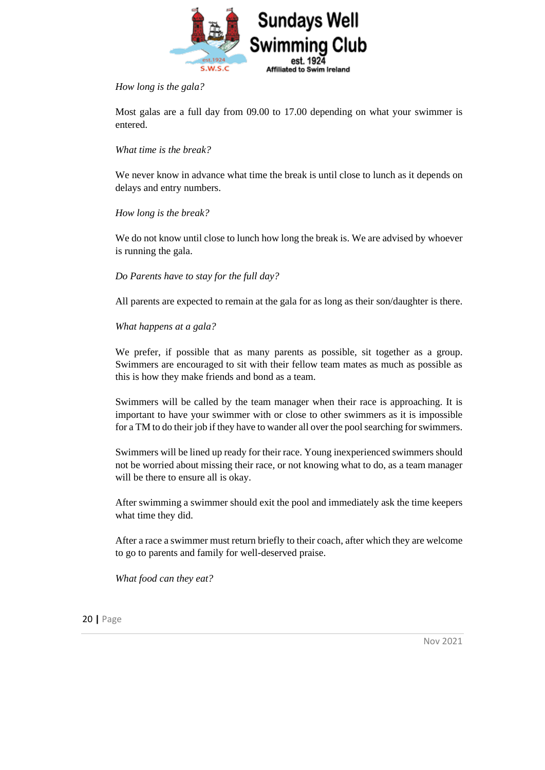

#### *How long is the gala?*

Most galas are a full day from 09.00 to 17.00 depending on what your swimmer is entered.

#### *What time is the break?*

We never know in advance what time the break is until close to lunch as it depends on delays and entry numbers.

#### *How long is the break?*

We do not know until close to lunch how long the break is. We are advised by whoever is running the gala.

#### *Do Parents have to stay for the full day?*

All parents are expected to remain at the gala for as long as their son/daughter is there.

#### *What happens at a gala?*

We prefer, if possible that as many parents as possible, sit together as a group. Swimmers are encouraged to sit with their fellow team mates as much as possible as this is how they make friends and bond as a team.

Swimmers will be called by the team manager when their race is approaching. It is important to have your swimmer with or close to other swimmers as it is impossible for a TM to do their job if they have to wander all over the pool searching for swimmers.

Swimmers will be lined up ready for their race. Young inexperienced swimmers should not be worried about missing their race, or not knowing what to do, as a team manager will be there to ensure all is okay.

After swimming a swimmer should exit the pool and immediately ask the time keepers what time they did.

After a race a swimmer must return briefly to their coach, after which they are welcome to go to parents and family for well-deserved praise.

*What food can they eat?*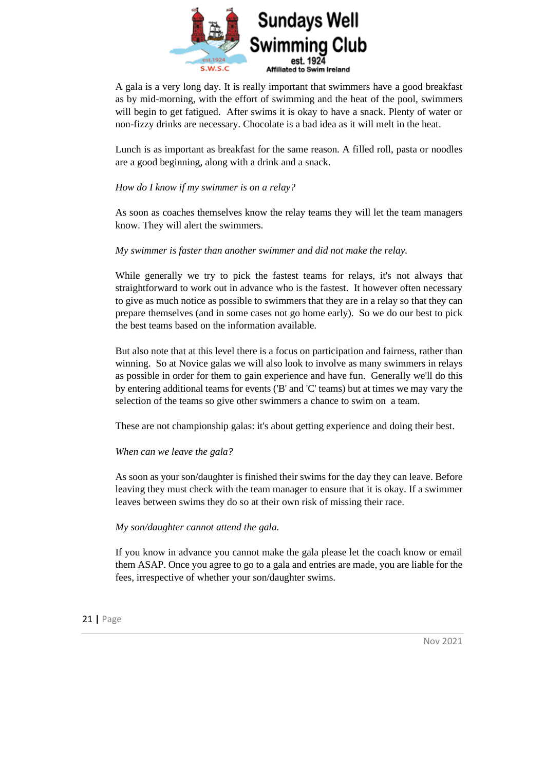

A gala is a very long day. It is really important that swimmers have a good breakfast as by mid-morning, with the effort of swimming and the heat of the pool, swimmers will begin to get fatigued. After swims it is okay to have a snack. Plenty of water or non-fizzy drinks are necessary. Chocolate is a bad idea as it will melt in the heat.

Lunch is as important as breakfast for the same reason. A filled roll, pasta or noodles are a good beginning, along with a drink and a snack.

*How do I know if my swimmer is on a relay?*

As soon as coaches themselves know the relay teams they will let the team managers know. They will alert the swimmers.

*My swimmer is faster than another swimmer and did not make the relay.*

While generally we try to pick the fastest teams for relays, it's not always that straightforward to work out in advance who is the fastest. It however often necessary to give as much notice as possible to swimmers that they are in a relay so that they can prepare themselves (and in some cases not go home early). So we do our best to pick the best teams based on the information available.

But also note that at this level there is a focus on participation and fairness, rather than winning. So at Novice galas we will also look to involve as many swimmers in relays as possible in order for them to gain experience and have fun. Generally we'll do this by entering additional teams for events ('B' and 'C' teams) but at times we may vary the selection of the teams so give other swimmers a chance to swim on a team.

These are not championship galas: it's about getting experience and doing their best.

#### *When can we leave the gala?*

As soon as your son/daughter is finished their swims for the day they can leave. Before leaving they must check with the team manager to ensure that it is okay. If a swimmer leaves between swims they do so at their own risk of missing their race.

#### *My son/daughter cannot attend the gala.*

If you know in advance you cannot make the gala please let the coach know or email them ASAP. Once you agree to go to a gala and entries are made, you are liable for the fees, irrespective of whether your son/daughter swims.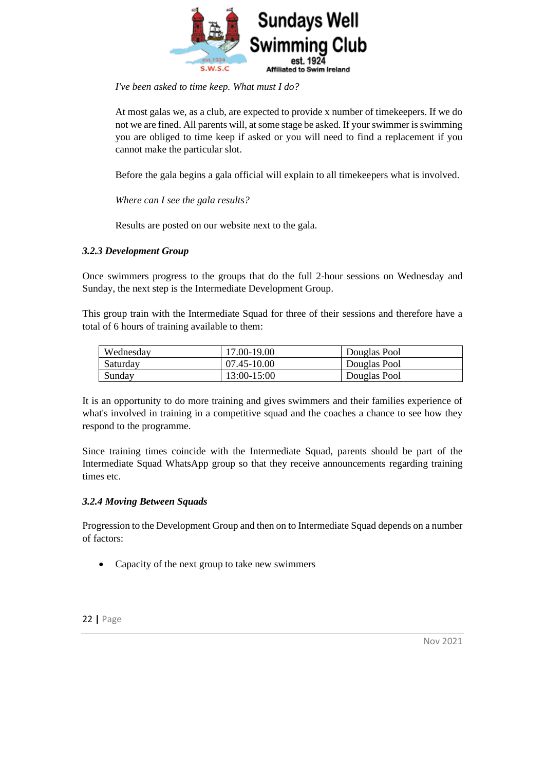

*I've been asked to time keep. What must I do?*

At most galas we, as a club, are expected to provide x number of timekeepers. If we do not we are fined. All parents will, at some stage be asked. If your swimmer is swimming you are obliged to time keep if asked or you will need to find a replacement if you cannot make the particular slot.

Before the gala begins a gala official will explain to all timekeepers what is involved.

*Where can I see the gala results?*

Results are posted on our website next to the gala.

#### <span id="page-21-0"></span>*3.2.3 Development Group*

Once swimmers progress to the groups that do the full 2-hour sessions on Wednesday and Sunday, the next step is the Intermediate Development Group.

This group train with the Intermediate Squad for three of their sessions and therefore have a total of 6 hours of training available to them:

| Wednesday | 17.00-19.00 | Douglas Pool |
|-----------|-------------|--------------|
| Saturday  | 07.45-10.00 | Douglas Pool |
| Sunday    | 13:00-15:00 | Douglas Pool |

It is an opportunity to do more training and gives swimmers and their families experience of what's involved in training in a competitive squad and the coaches a chance to see how they respond to the programme.

Since training times coincide with the Intermediate Squad, parents should be part of the Intermediate Squad WhatsApp group so that they receive announcements regarding training times etc.

#### <span id="page-21-1"></span>*3.2.4 Moving Between Squads*

Progression to the Development Group and then on to Intermediate Squad depends on a number of factors:

• Capacity of the next group to take new swimmers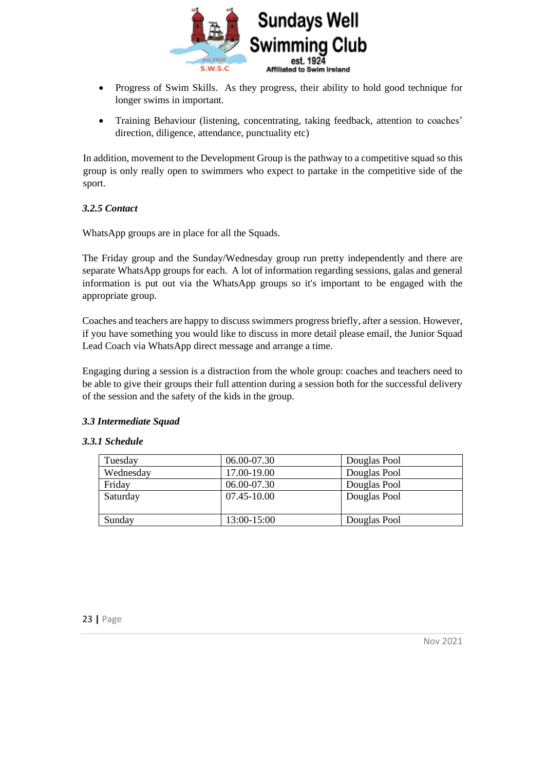

- Progress of Swim Skills. As they progress, their ability to hold good technique for longer swims in important.
- Training Behaviour (listening, concentrating, taking feedback, attention to coaches' direction, diligence, attendance, punctuality etc)

In addition, movement to the Development Group is the pathway to a competitive squad so this group is only really open to swimmers who expect to partake in the competitive side of the sport.

#### <span id="page-22-0"></span>*3.2.5 Contact*

WhatsApp groups are in place for all the Squads.

The Friday group and the Sunday/Wednesday group run pretty independently and there are separate WhatsApp groups for each. A lot of information regarding sessions, galas and general information is put out via the WhatsApp groups so it's important to be engaged with the appropriate group.

Coaches and teachers are happy to discuss swimmers progress briefly, after a session. However, if you have something you would like to discuss in more detail please email, the Junior Squad Lead Coach via WhatsApp direct message and arrange a time.

Engaging during a session is a distraction from the whole group: coaches and teachers need to be able to give their groups their full attention during a session both for the successful delivery of the session and the safety of the kids in the group.

#### <span id="page-22-1"></span>*3.3 Intermediate Squad*

#### <span id="page-22-2"></span>*3.3.1 Schedule*

| Tuesday   | 06.00-07.30 | Douglas Pool |
|-----------|-------------|--------------|
| Wednesday | 17.00-19.00 | Douglas Pool |
| Friday    | 06.00-07.30 | Douglas Pool |
| Saturday  | 07.45-10.00 | Douglas Pool |
|           |             |              |
| Sunday    | 13:00-15:00 | Douglas Pool |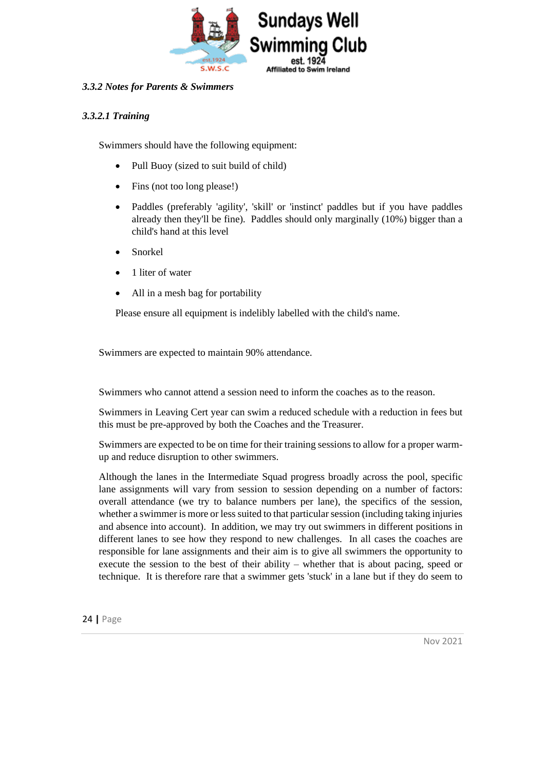

#### <span id="page-23-0"></span>*3.3.2 Notes for Parents & Swimmers*

#### *3.3.2.1 Training*

Swimmers should have the following equipment:

- Pull Buoy (sized to suit build of child)
- Fins (not too long please!)
- Paddles (preferably 'agility', 'skill' or 'instinct' paddles but if you have paddles already then they'll be fine). Paddles should only marginally (10%) bigger than a child's hand at this level
- Snorkel
- 1 liter of water
- All in a mesh bag for portability

Please ensure all equipment is indelibly labelled with the child's name.

Swimmers are expected to maintain 90% attendance.

Swimmers who cannot attend a session need to inform the coaches as to the reason.

Swimmers in Leaving Cert year can swim a reduced schedule with a reduction in fees but this must be pre-approved by both the Coaches and the Treasurer.

Swimmers are expected to be on time for their training sessions to allow for a proper warmup and reduce disruption to other swimmers.

Although the lanes in the Intermediate Squad progress broadly across the pool, specific lane assignments will vary from session to session depending on a number of factors: overall attendance (we try to balance numbers per lane), the specifics of the session, whether a swimmer is more or less suited to that particular session (including taking injuries and absence into account). In addition, we may try out swimmers in different positions in different lanes to see how they respond to new challenges. In all cases the coaches are responsible for lane assignments and their aim is to give all swimmers the opportunity to execute the session to the best of their ability – whether that is about pacing, speed or technique. It is therefore rare that a swimmer gets 'stuck' in a lane but if they do seem to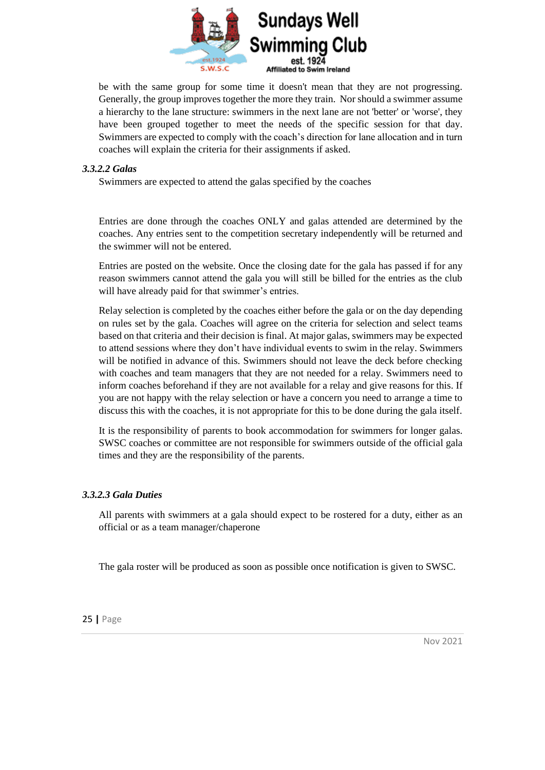

be with the same group for some time it doesn't mean that they are not progressing. Generally, the group improves together the more they train. Nor should a swimmer assume a hierarchy to the lane structure: swimmers in the next lane are not 'better' or 'worse', they have been grouped together to meet the needs of the specific session for that day. Swimmers are expected to comply with the coach's direction for lane allocation and in turn coaches will explain the criteria for their assignments if asked.

#### *3.3.2.2 Galas*

Swimmers are expected to attend the galas specified by the coaches

Entries are done through the coaches ONLY and galas attended are determined by the coaches. Any entries sent to the competition secretary independently will be returned and the swimmer will not be entered.

Entries are posted on the website. Once the closing date for the gala has passed if for any reason swimmers cannot attend the gala you will still be billed for the entries as the club will have already paid for that swimmer's entries.

Relay selection is completed by the coaches either before the gala or on the day depending on rules set by the gala. Coaches will agree on the criteria for selection and select teams based on that criteria and their decision is final. At major galas, swimmers may be expected to attend sessions where they don't have individual events to swim in the relay. Swimmers will be notified in advance of this. Swimmers should not leave the deck before checking with coaches and team managers that they are not needed for a relay. Swimmers need to inform coaches beforehand if they are not available for a relay and give reasons for this. If you are not happy with the relay selection or have a concern you need to arrange a time to discuss this with the coaches, it is not appropriate for this to be done during the gala itself.

It is the responsibility of parents to book accommodation for swimmers for longer galas. SWSC coaches or committee are not responsible for swimmers outside of the official gala times and they are the responsibility of the parents.

#### *3.3.2.3 Gala Duties*

All parents with swimmers at a gala should expect to be rostered for a duty, either as an official or as a team manager/chaperone

The gala roster will be produced as soon as possible once notification is given to SWSC.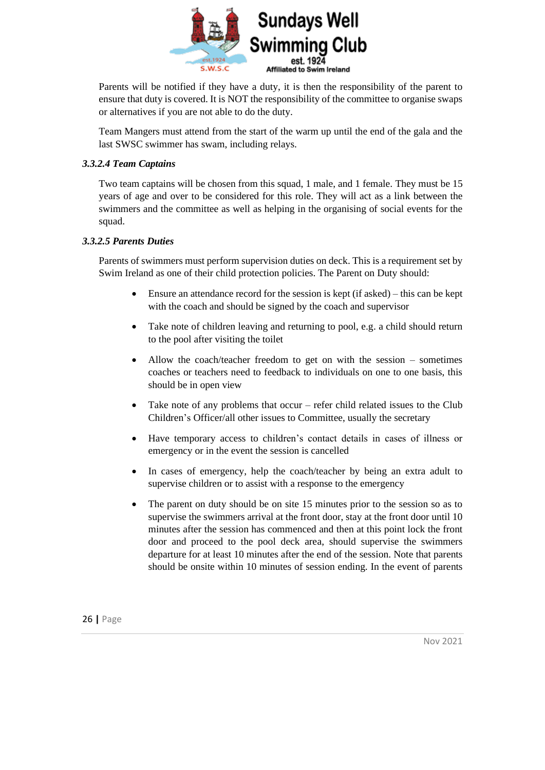

Parents will be notified if they have a duty, it is then the responsibility of the parent to ensure that duty is covered. It is NOT the responsibility of the committee to organise swaps or alternatives if you are not able to do the duty.

Team Mangers must attend from the start of the warm up until the end of the gala and the last SWSC swimmer has swam, including relays.

#### *3.3.2.4 Team Captains*

Two team captains will be chosen from this squad, 1 male, and 1 female. They must be 15 years of age and over to be considered for this role. They will act as a link between the swimmers and the committee as well as helping in the organising of social events for the squad.

#### *3.3.2.5 Parents Duties*

Parents of swimmers must perform supervision duties on deck. This is a requirement set by Swim Ireland as one of their child protection policies. The Parent on Duty should:

- Ensure an attendance record for the session is kept (if asked) this can be kept with the coach and should be signed by the coach and supervisor
- Take note of children leaving and returning to pool, e.g. a child should return to the pool after visiting the toilet
- Allow the coach/teacher freedom to get on with the session sometimes coaches or teachers need to feedback to individuals on one to one basis, this should be in open view
- Take note of any problems that occur refer child related issues to the Club Children's Officer/all other issues to Committee, usually the secretary
- Have temporary access to children's contact details in cases of illness or emergency or in the event the session is cancelled
- In cases of emergency, help the coach/teacher by being an extra adult to supervise children or to assist with a response to the emergency
- The parent on duty should be on site 15 minutes prior to the session so as to supervise the swimmers arrival at the front door, stay at the front door until 10 minutes after the session has commenced and then at this point lock the front door and proceed to the pool deck area, should supervise the swimmers departure for at least 10 minutes after the end of the session. Note that parents should be onsite within 10 minutes of session ending. In the event of parents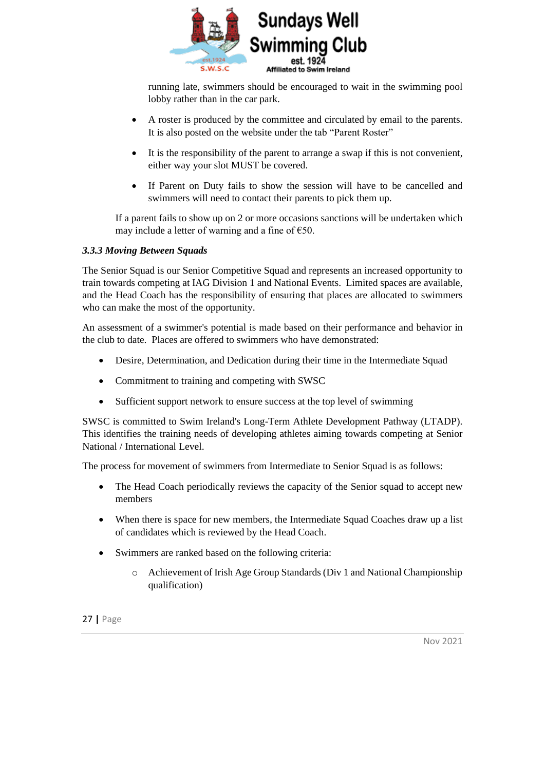

running late, swimmers should be encouraged to wait in the swimming pool lobby rather than in the car park.

- A roster is produced by the committee and circulated by email to the parents. It is also posted on the website under the tab "Parent Roster"
- It is the responsibility of the parent to arrange a swap if this is not convenient, either way your slot MUST be covered.
- If Parent on Duty fails to show the session will have to be cancelled and swimmers will need to contact their parents to pick them up.

If a parent fails to show up on 2 or more occasions sanctions will be undertaken which may include a letter of warning and a fine of  $\epsilon$ 50.

#### *3.3.3 Moving Between Squads*

The Senior Squad is our Senior Competitive Squad and represents an increased opportunity to train towards competing at IAG Division 1 and National Events. Limited spaces are available, and the Head Coach has the responsibility of ensuring that places are allocated to swimmers who can make the most of the opportunity.

An assessment of a swimmer's potential is made based on their performance and behavior in the club to date. Places are offered to swimmers who have demonstrated:

- Desire, Determination, and Dedication during their time in the Intermediate Squad
- Commitment to training and competing with SWSC
- Sufficient support network to ensure success at the top level of swimming

SWSC is committed to Swim Ireland's Long-Term Athlete Development Pathway (LTADP). This identifies the training needs of developing athletes aiming towards competing at Senior National / International Level.

The process for movement of swimmers from Intermediate to Senior Squad is as follows:

- The Head Coach periodically reviews the capacity of the Senior squad to accept new members
- When there is space for new members, the Intermediate Squad Coaches draw up a list of candidates which is reviewed by the Head Coach.
- Swimmers are ranked based on the following criteria:
	- o Achievement of Irish Age Group Standards (Div 1 and National Championship qualification)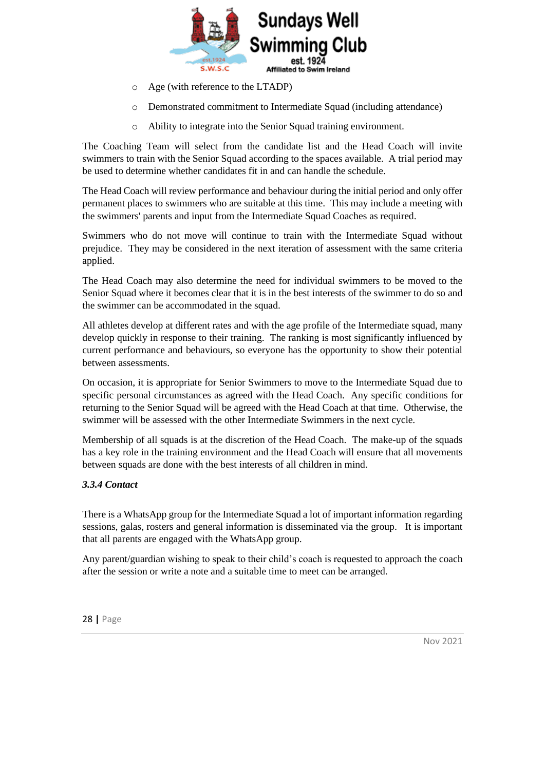

- o Age (with reference to the LTADP)
- o Demonstrated commitment to Intermediate Squad (including attendance)
- o Ability to integrate into the Senior Squad training environment.

The Coaching Team will select from the candidate list and the Head Coach will invite swimmers to train with the Senior Squad according to the spaces available. A trial period may be used to determine whether candidates fit in and can handle the schedule.

The Head Coach will review performance and behaviour during the initial period and only offer permanent places to swimmers who are suitable at this time. This may include a meeting with the swimmers' parents and input from the Intermediate Squad Coaches as required.

Swimmers who do not move will continue to train with the Intermediate Squad without prejudice. They may be considered in the next iteration of assessment with the same criteria applied.

The Head Coach may also determine the need for individual swimmers to be moved to the Senior Squad where it becomes clear that it is in the best interests of the swimmer to do so and the swimmer can be accommodated in the squad.

All athletes develop at different rates and with the age profile of the Intermediate squad, many develop quickly in response to their training. The ranking is most significantly influenced by current performance and behaviours, so everyone has the opportunity to show their potential between assessments.

On occasion, it is appropriate for Senior Swimmers to move to the Intermediate Squad due to specific personal circumstances as agreed with the Head Coach. Any specific conditions for returning to the Senior Squad will be agreed with the Head Coach at that time. Otherwise, the swimmer will be assessed with the other Intermediate Swimmers in the next cycle.

Membership of all squads is at the discretion of the Head Coach. The make-up of the squads has a key role in the training environment and the Head Coach will ensure that all movements between squads are done with the best interests of all children in mind.

#### <span id="page-27-0"></span>*3.3.4 Contact*

There is a WhatsApp group for the Intermediate Squad a lot of important information regarding sessions, galas, rosters and general information is disseminated via the group. It is important that all parents are engaged with the WhatsApp group.

Any parent/guardian wishing to speak to their child's coach is requested to approach the coach after the session or write a note and a suitable time to meet can be arranged.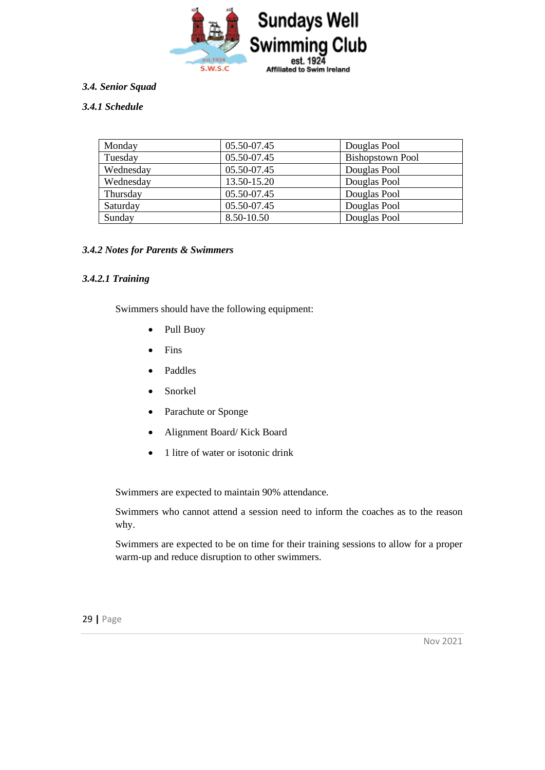

#### <span id="page-28-0"></span>*3.4. Senior Squad*

#### <span id="page-28-1"></span>*3.4.1 Schedule*

| Monday    | 05.50-07.45 | Douglas Pool            |
|-----------|-------------|-------------------------|
| Tuesday   | 05.50-07.45 | <b>Bishopstown Pool</b> |
| Wednesday | 05.50-07.45 | Douglas Pool            |
| Wednesday | 13.50-15.20 | Douglas Pool            |
| Thursday  | 05.50-07.45 | Douglas Pool            |
| Saturday  | 05.50-07.45 | Douglas Pool            |
| Sunday    | 8.50-10.50  | Douglas Pool            |

#### <span id="page-28-2"></span>*3.4.2 Notes for Parents & Swimmers*

#### *3.4.2.1 Training*

Swimmers should have the following equipment:

- Pull Buoy
- Fins
- Paddles
- Snorkel
- Parachute or Sponge
- Alignment Board/ Kick Board
- 1 litre of water or isotonic drink

Swimmers are expected to maintain 90% attendance.

Swimmers who cannot attend a session need to inform the coaches as to the reason why.

Swimmers are expected to be on time for their training sessions to allow for a proper warm-up and reduce disruption to other swimmers.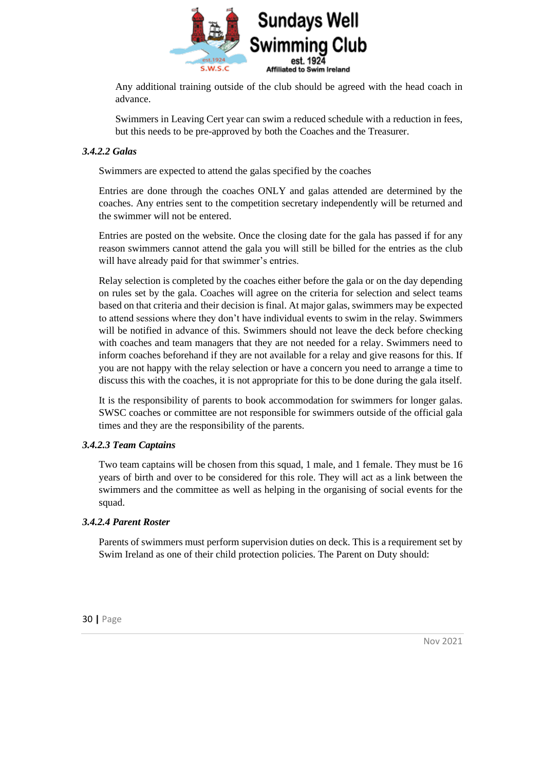

Any additional training outside of the club should be agreed with the head coach in advance.

Swimmers in Leaving Cert year can swim a reduced schedule with a reduction in fees, but this needs to be pre-approved by both the Coaches and the Treasurer.

#### *3.4.2.2 Galas*

Swimmers are expected to attend the galas specified by the coaches

Entries are done through the coaches ONLY and galas attended are determined by the coaches. Any entries sent to the competition secretary independently will be returned and the swimmer will not be entered.

Entries are posted on the website. Once the closing date for the gala has passed if for any reason swimmers cannot attend the gala you will still be billed for the entries as the club will have already paid for that swimmer's entries.

Relay selection is completed by the coaches either before the gala or on the day depending on rules set by the gala. Coaches will agree on the criteria for selection and select teams based on that criteria and their decision is final. At major galas, swimmers may be expected to attend sessions where they don't have individual events to swim in the relay. Swimmers will be notified in advance of this. Swimmers should not leave the deck before checking with coaches and team managers that they are not needed for a relay. Swimmers need to inform coaches beforehand if they are not available for a relay and give reasons for this. If you are not happy with the relay selection or have a concern you need to arrange a time to discuss this with the coaches, it is not appropriate for this to be done during the gala itself.

It is the responsibility of parents to book accommodation for swimmers for longer galas. SWSC coaches or committee are not responsible for swimmers outside of the official gala times and they are the responsibility of the parents.

#### *3.4.2.3 Team Captains*

Two team captains will be chosen from this squad, 1 male, and 1 female. They must be 16 years of birth and over to be considered for this role. They will act as a link between the swimmers and the committee as well as helping in the organising of social events for the squad.

#### *3.4.2.4 Parent Roster*

Parents of swimmers must perform supervision duties on deck. This is a requirement set by Swim Ireland as one of their child protection policies. The Parent on Duty should: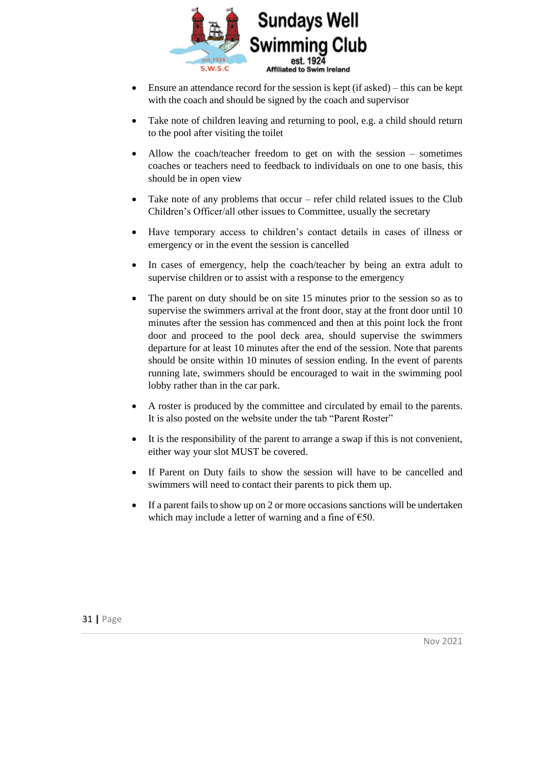

- Ensure an attendance record for the session is kept (if asked) this can be kept with the coach and should be signed by the coach and supervisor
- Take note of children leaving and returning to pool, e.g. a child should return to the pool after visiting the toilet
- Allow the coach/teacher freedom to get on with the session  $-$  sometimes coaches or teachers need to feedback to individuals on one to one basis, this should be in open view
- Take note of any problems that occur refer child related issues to the Club Children's Officer/all other issues to Committee, usually the secretary
- Have temporary access to children's contact details in cases of illness or emergency or in the event the session is cancelled
- In cases of emergency, help the coach/teacher by being an extra adult to supervise children or to assist with a response to the emergency
- The parent on duty should be on site 15 minutes prior to the session so as to supervise the swimmers arrival at the front door, stay at the front door until 10 minutes after the session has commenced and then at this point lock the front door and proceed to the pool deck area, should supervise the swimmers departure for at least 10 minutes after the end of the session. Note that parents should be onsite within 10 minutes of session ending. In the event of parents running late, swimmers should be encouraged to wait in the swimming pool lobby rather than in the car park.
- A roster is produced by the committee and circulated by email to the parents. It is also posted on the website under the tab "Parent Roster"
- It is the responsibility of the parent to arrange a swap if this is not convenient, either way your slot MUST be covered.
- If Parent on Duty fails to show the session will have to be cancelled and swimmers will need to contact their parents to pick them up.
- If a parent fails to show up on 2 or more occasions sanctions will be undertaken which may include a letter of warning and a fine of  $\epsilon$ 50.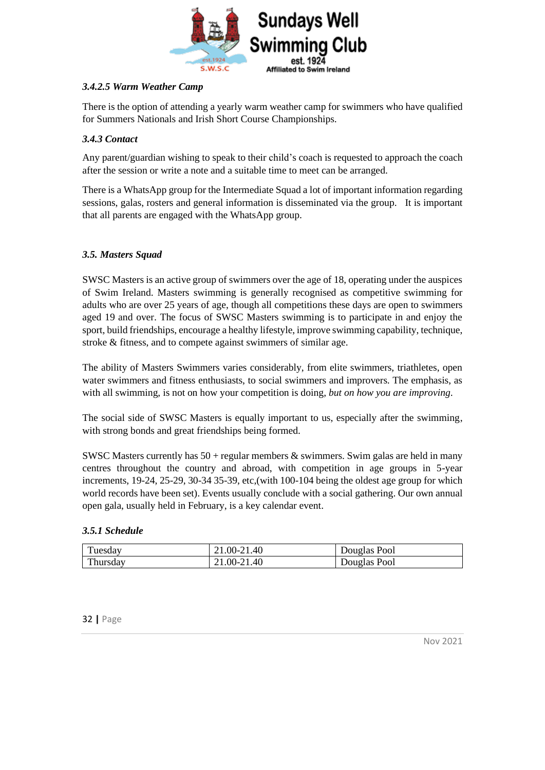

#### *3.4.2.5 Warm Weather Camp*

There is the option of attending a yearly warm weather camp for swimmers who have qualified for Summers Nationals and Irish Short Course Championships.

#### <span id="page-31-0"></span>*3.4.3 Contact*

Any parent/guardian wishing to speak to their child's coach is requested to approach the coach after the session or write a note and a suitable time to meet can be arranged.

There is a WhatsApp group for the Intermediate Squad a lot of important information regarding sessions, galas, rosters and general information is disseminated via the group. It is important that all parents are engaged with the WhatsApp group.

#### <span id="page-31-1"></span>*3.5. Masters Squad*

SWSC Masters is an active group of swimmers over the age of 18, operating under the auspices of Swim Ireland. Masters swimming is generally recognised as competitive swimming for adults who are over 25 years of age, though all competitions these days are open to swimmers aged 19 and over. The focus of SWSC Masters swimming is to participate in and enjoy the sport, build friendships, encourage a healthy lifestyle, improve swimming capability, technique, stroke & fitness, and to compete against swimmers of similar age.

The ability of Masters Swimmers varies considerably, from elite swimmers, triathletes, open water swimmers and fitness enthusiasts, to social swimmers and improvers. The emphasis, as with all swimming, is not on how your competition is doing, *but on how you are improving*.

The social side of SWSC Masters is equally important to us, especially after the swimming, with strong bonds and great friendships being formed.

SWSC Masters currently has  $50 +$  regular members & swimmers. Swim galas are held in many centres throughout the country and abroad, with competition in age groups in 5-year increments, 19-24, 25-29, 30-34 35-39, etc,(with 100-104 being the oldest age group for which world records have been set). Events usually conclude with a social gathering. Our own annual open gala, usually held in February, is a key calendar event.

#### <span id="page-31-2"></span>*3.5.1 Schedule*

| Tuesday  | 21.00-21.40 | Douglas Pool |
|----------|-------------|--------------|
| Thursday | 21.00-21.40 | Douglas Pool |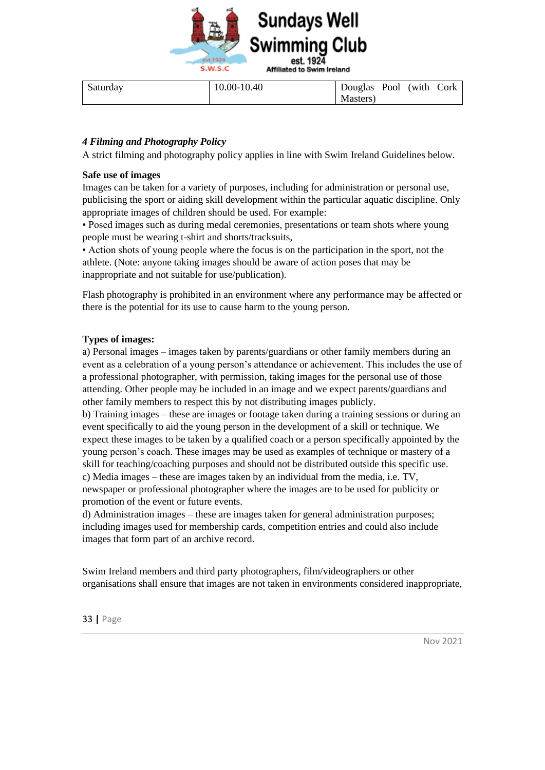

| Saturday | 10.00-10.40 | Douglas Pool (with Cork |  |  |
|----------|-------------|-------------------------|--|--|
|          |             | Masters)                |  |  |

#### <span id="page-32-0"></span>*4 Filming and Photography Policy*

A strict filming and photography policy applies in line with Swim Ireland Guidelines below.

#### **Safe use of images**

Images can be taken for a variety of purposes, including for administration or personal use, publicising the sport or aiding skill development within the particular aquatic discipline. Only appropriate images of children should be used. For example:

• Posed images such as during medal ceremonies, presentations or team shots where young people must be wearing t-shirt and shorts/tracksuits,

• Action shots of young people where the focus is on the participation in the sport, not the athlete. (Note: anyone taking images should be aware of action poses that may be inappropriate and not suitable for use/publication).

Flash photography is prohibited in an environment where any performance may be affected or there is the potential for its use to cause harm to the young person.

#### **Types of images:**

a) Personal images – images taken by parents/guardians or other family members during an event as a celebration of a young person's attendance or achievement. This includes the use of a professional photographer, with permission, taking images for the personal use of those attending. Other people may be included in an image and we expect parents/guardians and other family members to respect this by not distributing images publicly.

b) Training images – these are images or footage taken during a training sessions or during an event specifically to aid the young person in the development of a skill or technique. We expect these images to be taken by a qualified coach or a person specifically appointed by the young person's coach. These images may be used as examples of technique or mastery of a skill for teaching/coaching purposes and should not be distributed outside this specific use. c) Media images – these are images taken by an individual from the media, i.e. TV, newspaper or professional photographer where the images are to be used for publicity or promotion of the event or future events.

d) Administration images – these are images taken for general administration purposes; including images used for membership cards, competition entries and could also include images that form part of an archive record.

Swim Ireland members and third party photographers, film/videographers or other organisations shall ensure that images are not taken in environments considered inappropriate,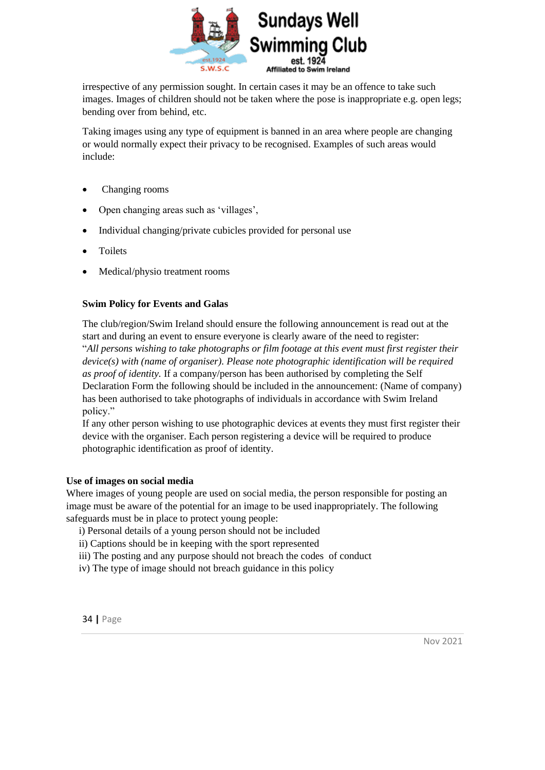

irrespective of any permission sought. In certain cases it may be an offence to take such images. Images of children should not be taken where the pose is inappropriate e.g. open legs; bending over from behind, etc.

Taking images using any type of equipment is banned in an area where people are changing or would normally expect their privacy to be recognised. Examples of such areas would include:

- Changing rooms
- Open changing areas such as 'villages',
- Individual changing/private cubicles provided for personal use
- **Toilets**
- Medical/physio treatment rooms

#### **Swim Policy for Events and Galas**

The club/region/Swim Ireland should ensure the following announcement is read out at the start and during an event to ensure everyone is clearly aware of the need to register: "*All persons wishing to take photographs or film footage at this event must first register their device(s) with (name of organiser). Please note photographic identification will be required as proof of identity.* If a company/person has been authorised by completing the Self Declaration Form the following should be included in the announcement: (Name of company) has been authorised to take photographs of individuals in accordance with Swim Ireland policy."

If any other person wishing to use photographic devices at events they must first register their device with the organiser. Each person registering a device will be required to produce photographic identification as proof of identity.

#### **Use of images on social media**

Where images of young people are used on social media, the person responsible for posting an image must be aware of the potential for an image to be used inappropriately. The following safeguards must be in place to protect young people:

- i) Personal details of a young person should not be included
- ii) Captions should be in keeping with the sport represented
- iii) The posting and any purpose should not breach the codes of conduct
- iv) The type of image should not breach guidance in this policy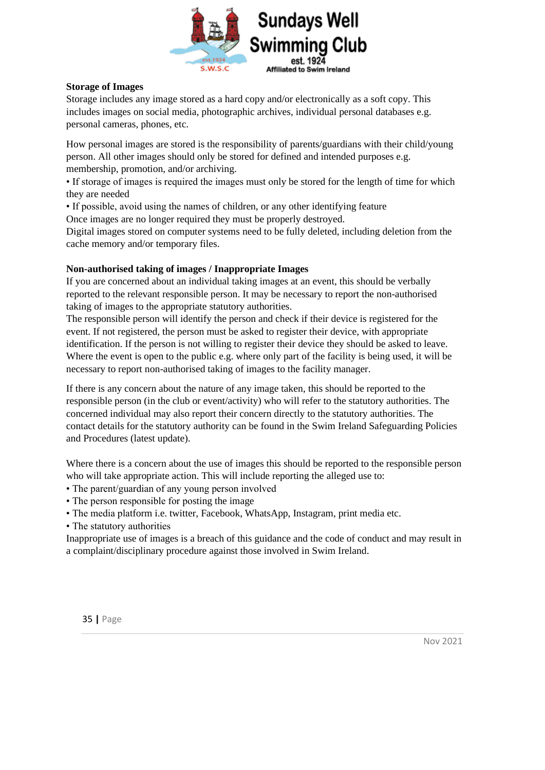

#### **Storage of Images**

Storage includes any image stored as a hard copy and/or electronically as a soft copy. This includes images on social media, photographic archives, individual personal databases e.g. personal cameras, phones, etc.

How personal images are stored is the responsibility of parents/guardians with their child/young person. All other images should only be stored for defined and intended purposes e.g. membership, promotion, and/or archiving.

• If storage of images is required the images must only be stored for the length of time for which they are needed

• If possible, avoid using the names of children, or any other identifying feature

Once images are no longer required they must be properly destroyed.

Digital images stored on computer systems need to be fully deleted, including deletion from the cache memory and/or temporary files.

#### **Non-authorised taking of images / Inappropriate Images**

If you are concerned about an individual taking images at an event, this should be verbally reported to the relevant responsible person. It may be necessary to report the non-authorised taking of images to the appropriate statutory authorities.

The responsible person will identify the person and check if their device is registered for the event. If not registered, the person must be asked to register their device, with appropriate identification. If the person is not willing to register their device they should be asked to leave. Where the event is open to the public e.g. where only part of the facility is being used, it will be necessary to report non-authorised taking of images to the facility manager.

If there is any concern about the nature of any image taken, this should be reported to the responsible person (in the club or event/activity) who will refer to the statutory authorities. The concerned individual may also report their concern directly to the statutory authorities. The contact details for the statutory authority can be found in the Swim Ireland Safeguarding Policies and Procedures (latest update).

Where there is a concern about the use of images this should be reported to the responsible person who will take appropriate action. This will include reporting the alleged use to:

- The parent/guardian of any young person involved
- The person responsible for posting the image
- The media platform i.e. twitter, Facebook, WhatsApp, Instagram, print media etc.

• The statutory authorities

Inappropriate use of images is a breach of this guidance and the code of conduct and may result in a complaint/disciplinary procedure against those involved in Swim Ireland.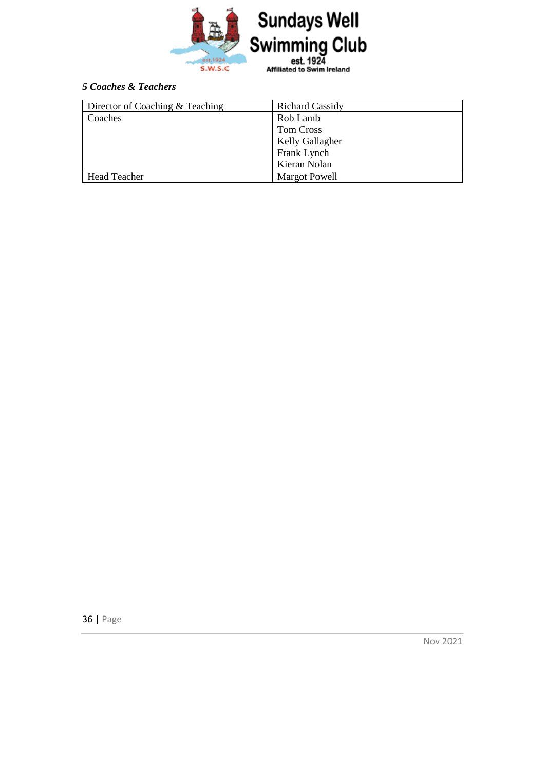

#### <span id="page-35-0"></span>*5 Coaches & Teachers*

| Director of Coaching & Teaching | <b>Richard Cassidy</b> |
|---------------------------------|------------------------|
| Coaches                         | Rob Lamb               |
|                                 | Tom Cross              |
|                                 | <b>Kelly Gallagher</b> |
|                                 | Frank Lynch            |
|                                 | Kieran Nolan           |
| <b>Head Teacher</b>             | <b>Margot Powell</b>   |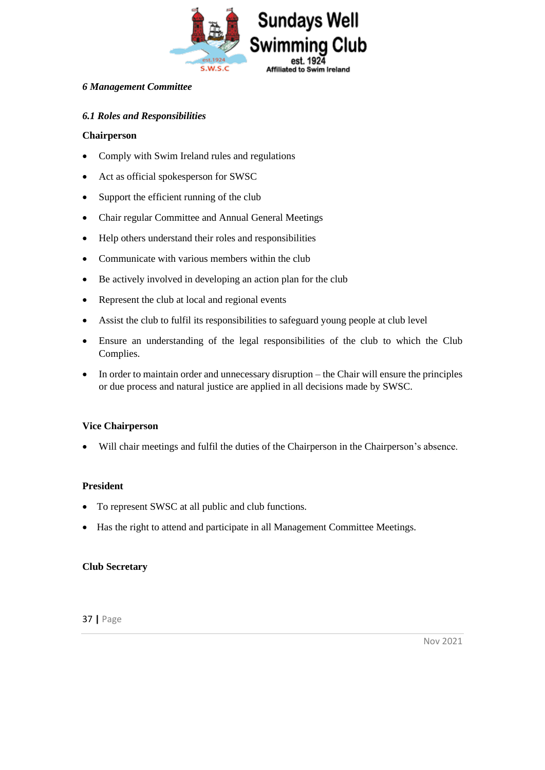

#### <span id="page-36-0"></span>*6 Management Committee*

#### <span id="page-36-1"></span>*6.1 Roles and Responsibilities*

#### **Chairperson**

- Comply with Swim Ireland rules and regulations
- Act as official spokesperson for SWSC
- Support the efficient running of the club
- Chair regular Committee and Annual General Meetings
- Help others understand their roles and responsibilities
- Communicate with various members within the club
- Be actively involved in developing an action plan for the club
- Represent the club at local and regional events
- Assist the club to fulfil its responsibilities to safeguard young people at club level
- Ensure an understanding of the legal responsibilities of the club to which the Club Complies.
- In order to maintain order and unnecessary disruption the Chair will ensure the principles or due process and natural justice are applied in all decisions made by SWSC.

#### **Vice Chairperson**

• Will chair meetings and fulfil the duties of the Chairperson in the Chairperson's absence.

#### **President**

- To represent SWSC at all public and club functions.
- Has the right to attend and participate in all Management Committee Meetings.

#### **Club Secretary**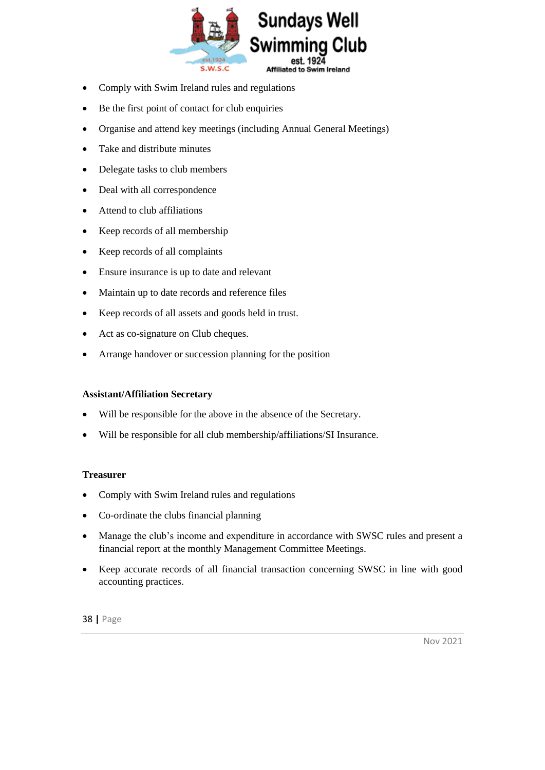

- Comply with Swim Ireland rules and regulations
- Be the first point of contact for club enquiries
- Organise and attend key meetings (including Annual General Meetings)
- Take and distribute minutes
- Delegate tasks to club members
- Deal with all correspondence
- Attend to club affiliations
- Keep records of all membership
- Keep records of all complaints
- Ensure insurance is up to date and relevant
- Maintain up to date records and reference files
- Keep records of all assets and goods held in trust.
- Act as co-signature on Club cheques.
- Arrange handover or succession planning for the position

#### **Assistant/Affiliation Secretary**

- Will be responsible for the above in the absence of the Secretary.
- Will be responsible for all club membership/affiliations/SI Insurance.

#### **Treasurer**

- Comply with Swim Ireland rules and regulations
- Co-ordinate the clubs financial planning
- Manage the club's income and expenditure in accordance with SWSC rules and present a financial report at the monthly Management Committee Meetings.
- Keep accurate records of all financial transaction concerning SWSC in line with good accounting practices.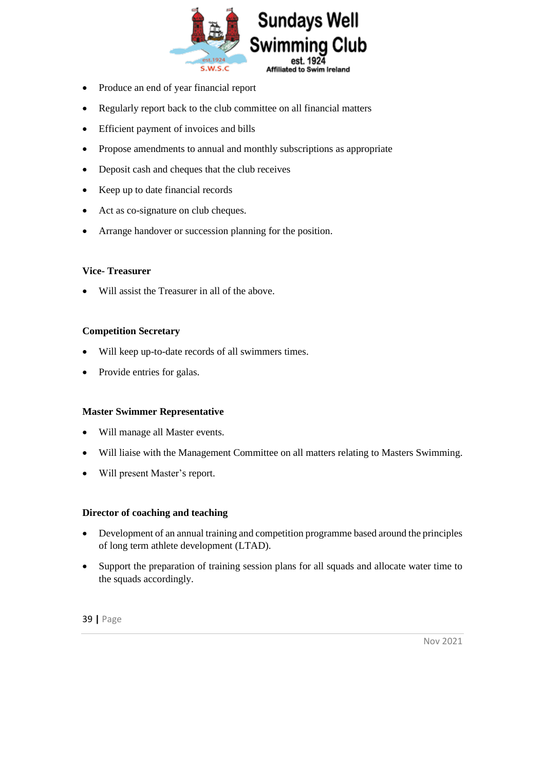

- Produce an end of year financial report
- Regularly report back to the club committee on all financial matters
- Efficient payment of invoices and bills
- Propose amendments to annual and monthly subscriptions as appropriate
- Deposit cash and cheques that the club receives
- Keep up to date financial records
- Act as co-signature on club cheques.
- Arrange handover or succession planning for the position.

#### **Vice- Treasurer**

Will assist the Treasurer in all of the above.

#### **Competition Secretary**

- Will keep up-to-date records of all swimmers times.
- Provide entries for galas.

#### **Master Swimmer Representative**

- Will manage all Master events.
- Will liaise with the Management Committee on all matters relating to Masters Swimming.
- Will present Master's report.

#### **Director of coaching and teaching**

- Development of an annual training and competition programme based around the principles of long term athlete development (LTAD).
- Support the preparation of training session plans for all squads and allocate water time to the squads accordingly.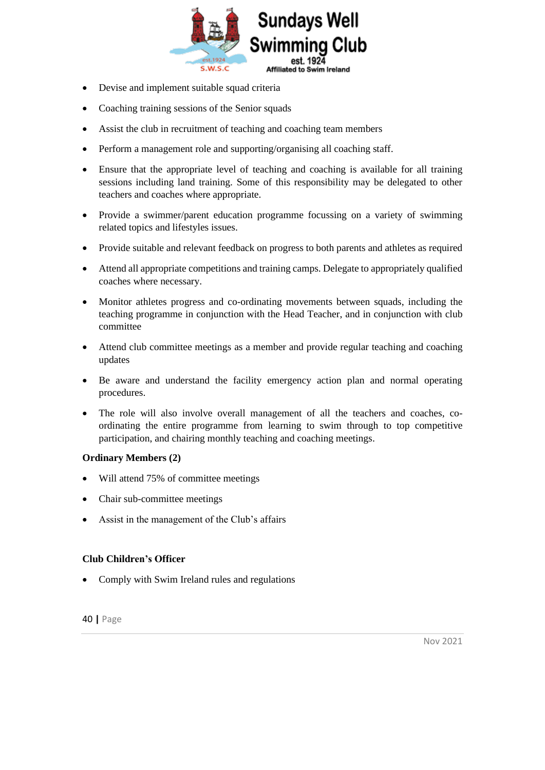

- Devise and implement suitable squad criteria
- Coaching training sessions of the Senior squads
- Assist the club in recruitment of teaching and coaching team members
- Perform a management role and supporting/organising all coaching staff.
- Ensure that the appropriate level of teaching and coaching is available for all training sessions including land training. Some of this responsibility may be delegated to other teachers and coaches where appropriate.
- Provide a swimmer/parent education programme focussing on a variety of swimming related topics and lifestyles issues.
- Provide suitable and relevant feedback on progress to both parents and athletes as required
- Attend all appropriate competitions and training camps. Delegate to appropriately qualified coaches where necessary.
- Monitor athletes progress and co-ordinating movements between squads, including the teaching programme in conjunction with the Head Teacher, and in conjunction with club committee
- Attend club committee meetings as a member and provide regular teaching and coaching updates
- Be aware and understand the facility emergency action plan and normal operating procedures.
- The role will also involve overall management of all the teachers and coaches, coordinating the entire programme from learning to swim through to top competitive participation, and chairing monthly teaching and coaching meetings.

#### **Ordinary Members (2)**

- Will attend 75% of committee meetings
- Chair sub-committee meetings
- Assist in the management of the Club's affairs

#### **Club Children's Officer**

• Comply with Swim Ireland rules and regulations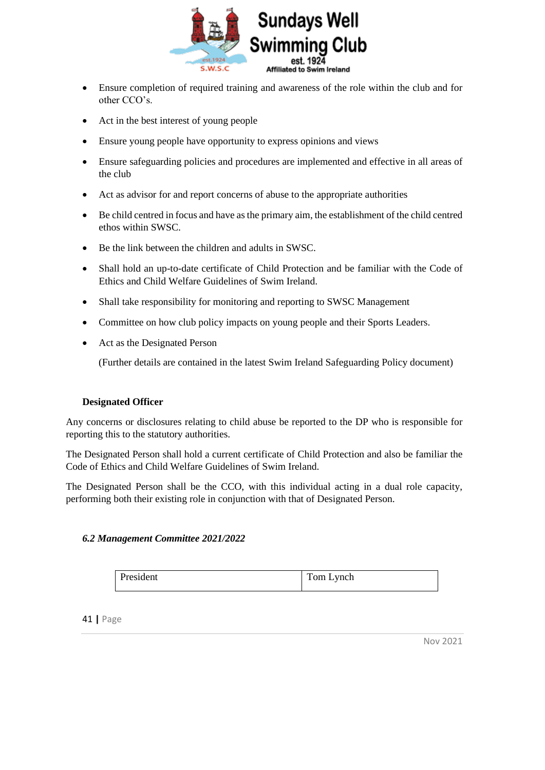

- Ensure completion of required training and awareness of the role within the club and for other CCO's.
- Act in the best interest of young people
- Ensure young people have opportunity to express opinions and views
- Ensure safeguarding policies and procedures are implemented and effective in all areas of the club
- Act as advisor for and report concerns of abuse to the appropriate authorities
- Be child centred in focus and have as the primary aim, the establishment of the child centred ethos within SWSC.
- Be the link between the children and adults in SWSC.
- Shall hold an up-to-date certificate of Child Protection and be familiar with the Code of Ethics and Child Welfare Guidelines of Swim Ireland.
- Shall take responsibility for monitoring and reporting to SWSC Management
- Committee on how club policy impacts on young people and their Sports Leaders.
- Act as the Designated Person

(Further details are contained in the latest Swim Ireland Safeguarding Policy document)

#### **Designated Officer**

Any concerns or disclosures relating to child abuse be reported to the DP who is responsible for reporting this to the statutory authorities.

The Designated Person shall hold a current certificate of Child Protection and also be familiar the Code of Ethics and Child Welfare Guidelines of Swim Ireland.

The Designated Person shall be the CCO, with this individual acting in a dual role capacity, performing both their existing role in conjunction with that of Designated Person.

#### <span id="page-40-0"></span>*6.2 Management Committee 2021/2022*

| President | Tom Lynch |
|-----------|-----------|
|           |           |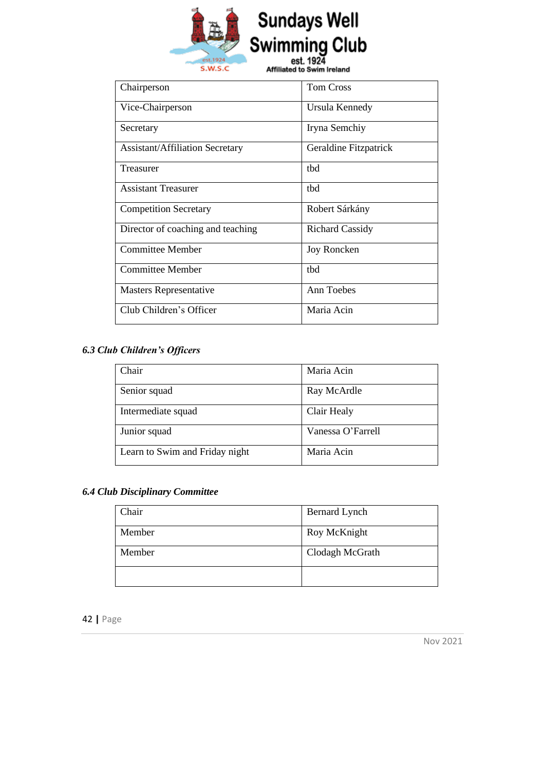

# **Sundays Well<br>Swimming Club**<br>Afflicted by State Island

Affiliated to Swim Ireland

| Chairperson                            | <b>Tom Cross</b>       |
|----------------------------------------|------------------------|
| Vice-Chairperson                       | Ursula Kennedy         |
| Secretary                              | Iryna Semchiy          |
| <b>Assistant/Affiliation Secretary</b> | Geraldine Fitzpatrick  |
| Treasurer                              | thd                    |
| <b>Assistant Treasurer</b>             | thd                    |
| <b>Competition Secretary</b>           | Robert Sárkány         |
| Director of coaching and teaching      | <b>Richard Cassidy</b> |
| <b>Committee Member</b>                | Joy Roncken            |
| <b>Committee Member</b>                | thd                    |
| <b>Masters Representative</b>          | Ann Toebes             |
| Club Children's Officer                | Maria Acin             |

#### <span id="page-41-0"></span>*6.3 Club Children's Officers*

| Chair                          | Maria Acin        |
|--------------------------------|-------------------|
| Senior squad                   | Ray McArdle       |
| Intermediate squad             | Clair Healy       |
| Junior squad                   | Vanessa O'Farrell |
| Learn to Swim and Friday night | Maria Acin        |

#### <span id="page-41-1"></span>*6.4 Club Disciplinary Committee*

| Chair  | Bernard Lynch   |
|--------|-----------------|
| Member | Roy McKnight    |
| Member | Clodagh McGrath |
|        |                 |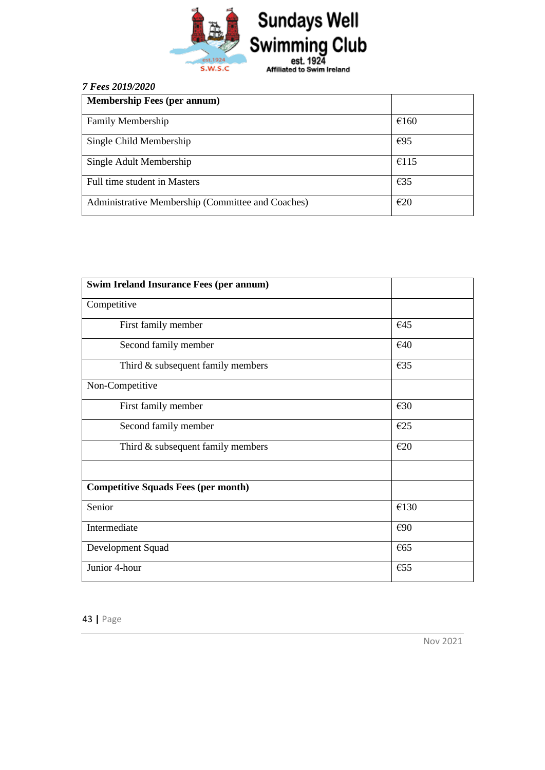

#### <span id="page-42-0"></span>*7 Fees 2019/2020*

| <b>Membership Fees (per annum)</b>                |        |
|---------------------------------------------------|--------|
| <b>Family Membership</b>                          | €160   |
| Single Child Membership                           | E95    |
| Single Adult Membership                           | €115   |
| Full time student in Masters                      | $E$ 35 |
| Administrative Membership (Committee and Coaches) | E20    |

| <b>Swim Ireland Insurance Fees (per annum)</b> |               |
|------------------------------------------------|---------------|
| Competitive                                    |               |
| First family member                            | €45           |
| Second family member                           | €40           |
| Third & subsequent family members              | €35           |
| Non-Competitive                                |               |
| First family member                            | €30           |
| Second family member                           | E25           |
| Third $&$ subsequent family members            | E20           |
|                                                |               |
| <b>Competitive Squads Fees (per month)</b>     |               |
| Senior                                         | €130          |
| Intermediate                                   | €90           |
| Development Squad                              | $\epsilon$ 65 |
| Junior 4-hour                                  | €55           |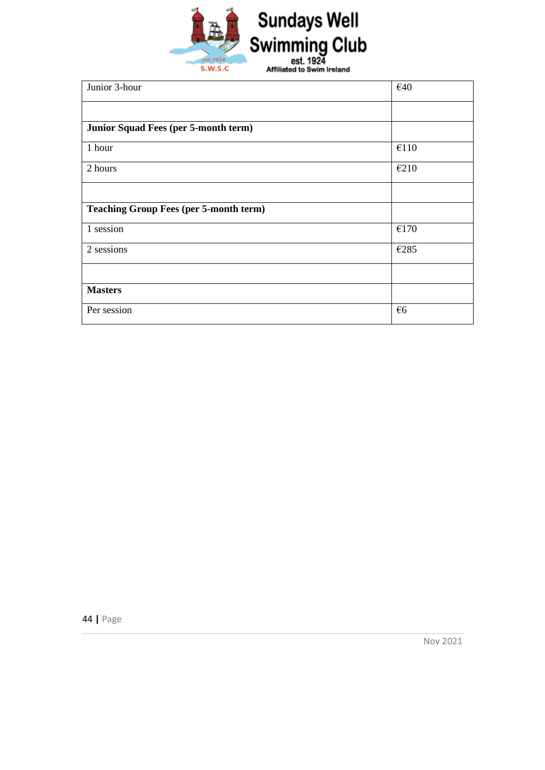

| Junior 3-hour                                 | €40          |
|-----------------------------------------------|--------------|
|                                               |              |
| Junior Squad Fees (per 5-month term)          |              |
| 1 hour                                        | €110         |
| 2 hours                                       | €210         |
|                                               |              |
| <b>Teaching Group Fees (per 5-month term)</b> |              |
| 1 session                                     | €170         |
| 2 sessions                                    | €285         |
|                                               |              |
| <b>Masters</b>                                |              |
| Per session                                   | $\epsilon$ 6 |